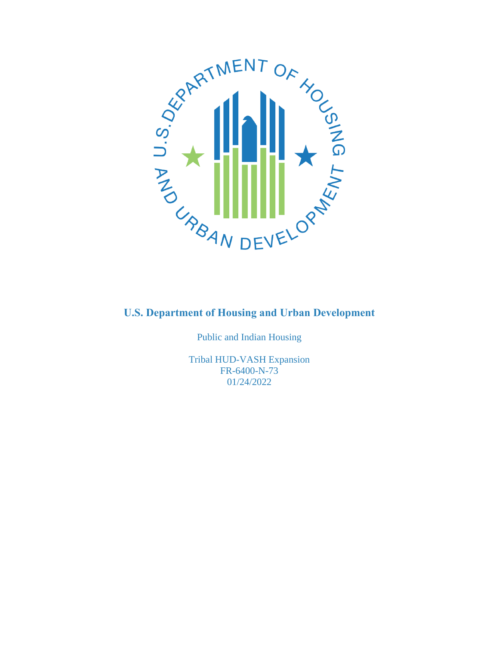

Public and Indian Housing

Tribal HUD-VASH Expansion FR-6400-N-73 01/24/2022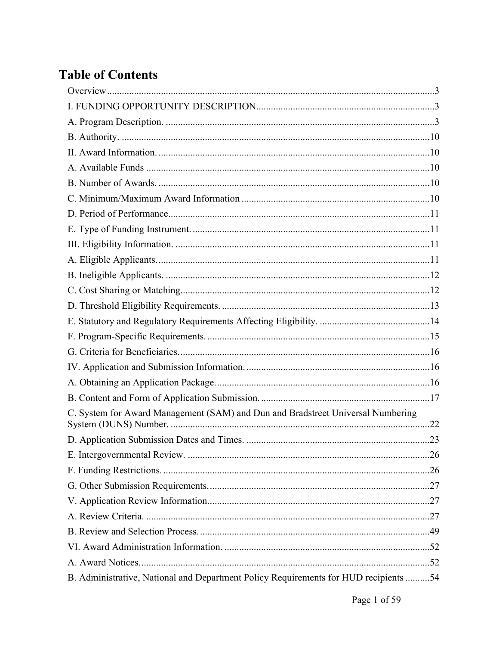# **Table of Contents**

| C. System for Award Management (SAM) and Dun and Bradstreet Universal Numbering      |  |
|--------------------------------------------------------------------------------------|--|
|                                                                                      |  |
|                                                                                      |  |
|                                                                                      |  |
|                                                                                      |  |
|                                                                                      |  |
|                                                                                      |  |
|                                                                                      |  |
|                                                                                      |  |
|                                                                                      |  |
| B. Administrative, National and Department Policy Requirements for HUD recipients 54 |  |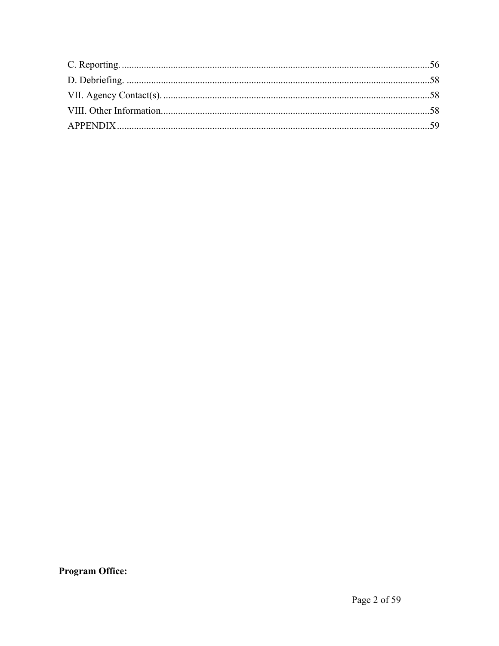**Program Office:**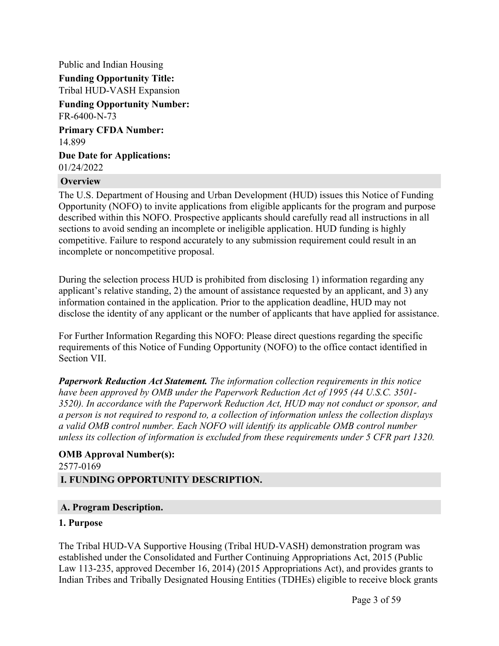Public and Indian Housing **Funding Opportunity Title:** Tribal HUD-VASH Expansion **Funding Opportunity Number:** FR-6400-N-73 **Primary CFDA Number:**

14.899

**Due Date for Applications:** 01/24/2022

#### <span id="page-3-0"></span>**Overview**

The U.S. Department of Housing and Urban Development (HUD) issues this Notice of Funding Opportunity (NOFO) to invite applications from eligible applicants for the program and purpose described within this NOFO. Prospective applicants should carefully read all instructions in all sections to avoid sending an incomplete or ineligible application. HUD funding is highly competitive. Failure to respond accurately to any submission requirement could result in an incomplete or noncompetitive proposal.

During the selection process HUD is prohibited from disclosing 1) information regarding any applicant's relative standing, 2) the amount of assistance requested by an applicant, and 3) any information contained in the application. Prior to the application deadline, HUD may not disclose the identity of any applicant or the number of applicants that have applied for assistance.

For Further Information Regarding this NOFO: Please direct questions regarding the specific requirements of this Notice of Funding Opportunity (NOFO) to the office contact identified in Section VII.

*Paperwork Reduction Act Statement. The information collection requirements in this notice have been approved by OMB under the Paperwork Reduction Act of 1995 (44 U.S.C. 3501- 3520). In accordance with the Paperwork Reduction Act, HUD may not conduct or sponsor, and a person is not required to respond to, a collection of information unless the collection displays a valid OMB control number. Each NOFO will identify its applicable OMB control number unless its collection of information is excluded from these requirements under 5 CFR part 1320.*

# **OMB Approval Number(s):** 2577-0169

#### <span id="page-3-1"></span>**I. FUNDING OPPORTUNITY DESCRIPTION.**

#### <span id="page-3-2"></span>**A. Program Description.**

#### **1. Purpose**

The Tribal HUD-VA Supportive Housing (Tribal HUD-VASH) demonstration program was established under the Consolidated and Further Continuing Appropriations Act, 2015 (Public Law 113-235, approved December 16, 2014) (2015 Appropriations Act), and provides grants to Indian Tribes and Tribally Designated Housing Entities (TDHEs) eligible to receive block grants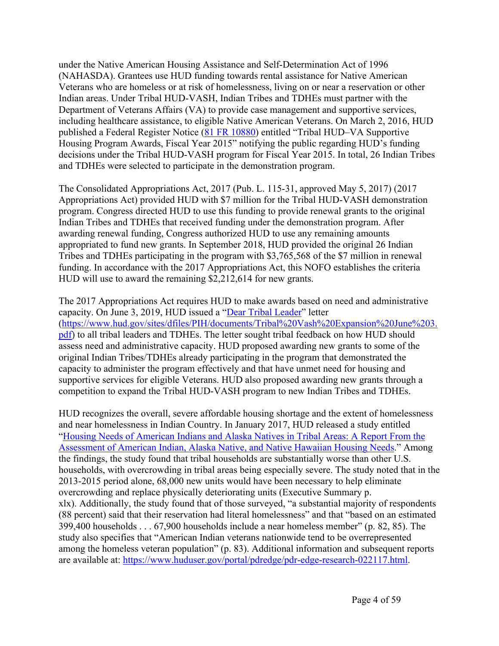under the Native American Housing Assistance and Self-Determination Act of 1996 (NAHASDA). Grantees use HUD funding towards rental assistance for Native American Veterans who are homeless or at risk of homelessness, living on or near a reservation or other Indian areas. Under Tribal HUD-VASH, Indian Tribes and TDHEs must partner with the Department of Veterans Affairs (VA) to provide case management and supportive services, including healthcare assistance, to eligible Native American Veterans. On March 2, 2016, HUD published a Federal Register Notice (81 FR [10880\)](https://www.govinfo.gov/content/pkg/FR-2016-03-02/pdf/2016-04627.pdf) entitled "Tribal HUD–VA Supportive Housing Program Awards, Fiscal Year 2015" notifying the public regarding HUD's funding decisions under the Tribal HUD-VASH program for Fiscal Year 2015. In total, 26 Indian Tribes and TDHEs were selected to participate in the demonstration program.

The Consolidated Appropriations Act, 2017 (Pub. L. 115-31, approved May 5, 2017) (2017 Appropriations Act) provided HUD with \$7 million for the Tribal HUD-VASH demonstration program. Congress directed HUD to use this funding to provide renewal grants to the original Indian Tribes and TDHEs that received funding under the demonstration program. After awarding renewal funding, Congress authorized HUD to use any remaining amounts appropriated to fund new grants. In September 2018, HUD provided the original 26 Indian Tribes and TDHEs participating in the program with \$3,765,568 of the \$7 million in renewal funding. In accordance with the 2017 Appropriations Act, this NOFO establishes the criteria HUD will use to award the remaining \$2,212,614 for new grants.

The 2017 Appropriations Act requires HUD to make awards based on need and administrative capacity. On June 3, 2019, HUD issued a "Dear Tribal [Leader](https://www.hud.gov/sites/dfiles/PIH/documents/Tribal%20Vash%20Expansion%20June%203.pdf)" letter ([https://www.hud.gov/sites/dfiles/PIH/documents/Tribal%20Vash%20Expansion%20June%203.](https://www.hud.gov/sites/dfiles/PIH/documents/Tribal%20Vash%20Expansion%20June%203.pdf) [pdf\)](https://www.hud.gov/sites/dfiles/PIH/documents/Tribal%20Vash%20Expansion%20June%203.pdf) to all tribal leaders and TDHEs. The letter sought tribal feedback on how HUD should assess need and administrative capacity. HUD proposed awarding new grants to some of the original Indian Tribes/TDHEs already participating in the program that demonstrated the capacity to administer the program effectively and that have unmet need for housing and supportive services for eligible Veterans. HUD also proposed awarding new grants through a competition to expand the Tribal HUD-VASH program to new Indian Tribes and TDHEs.

HUD recognizes the overall, severe affordable housing shortage and the extent of homelessness and near homelessness in Indian Country. In January 2017, HUD released a study entitled "Housing Needs of [American](https://www.huduser.gov/portal/publications/HNAIHousingNeeds.html) Indians and Alaska Natives in Tribal Areas: A Report From the [Assessment](https://www.huduser.gov/portal/publications/HNAIHousingNeeds.html) of American Indian, Alaska Native, and Native Hawaiian Housing Needs." Among the findings, the study found that tribal households are substantially worse than other U.S. households, with overcrowding in tribal areas being especially severe. The study noted that in the 2013-2015 period alone, 68,000 new units would have been necessary to help eliminate overcrowding and replace physically deteriorating units (Executive Summary p. xlx). Additionally, the study found that of those surveyed, "a substantial majority of respondents (88 percent) said that their reservation had literal homelessness" and that "based on an estimated 399,400 households . . . 67,900 households include a near homeless member" (p. 82, 85). The study also specifies that "American Indian veterans nationwide tend to be overrepresented among the homeless veteran population" (p. 83). Additional information and subsequent reports are available at: [https://www.huduser.gov/portal/pdredge/pdr-edge-research-022117.html.](https://www.huduser.gov/portal/pdredge/pdr-edge-research-022117.html)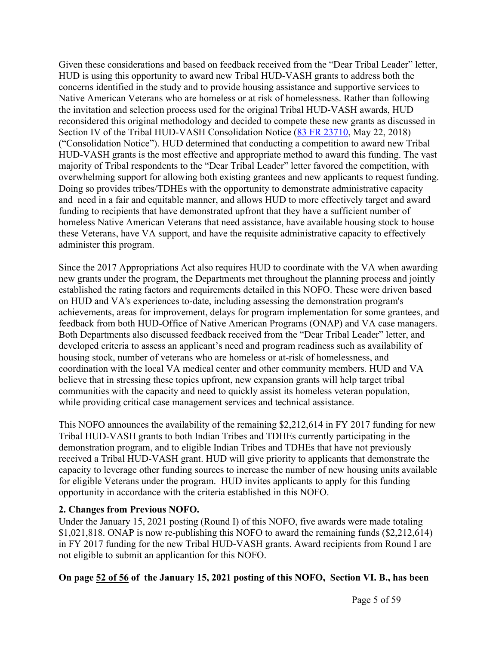Given these considerations and based on feedback received from the "Dear Tribal Leader" letter, HUD is using this opportunity to award new Tribal HUD-VASH grants to address both the concerns identified in the study and to provide housing assistance and supportive services to Native American Veterans who are homeless or at risk of homelessness. Rather than following the invitation and selection process used for the original Tribal HUD-VASH awards, HUD reconsidered this original methodology and decided to compete these new grants as discussed in Section IV of the Tribal HUD-VASH Consolidation Notice (83 FR [23710](https://www.hud.gov/sites/dfiles/PIH/documents/2018-05-Tribal_HUD-VASH_Consolidated_Notice.pdf), May 22, 2018) ("Consolidation Notice"). HUD determined that conducting a competition to award new Tribal HUD-VASH grants is the most effective and appropriate method to award this funding. The vast majority of Tribal respondents to the "Dear Tribal Leader" letter favored the competition, with overwhelming support for allowing both existing grantees and new applicants to request funding. Doing so provides tribes/TDHEs with the opportunity to demonstrate administrative capacity and need in a fair and equitable manner, and allows HUD to more effectively target and award funding to recipients that have demonstrated upfront that they have a sufficient number of homeless Native American Veterans that need assistance, have available housing stock to house these Veterans, have VA support, and have the requisite administrative capacity to effectively administer this program.

Since the 2017 Appropriations Act also requires HUD to coordinate with the VA when awarding new grants under the program, the Departments met throughout the planning process and jointly established the rating factors and requirements detailed in this NOFO. These were driven based on HUD and VA's experiences to-date, including assessing the demonstration program's achievements, areas for improvement, delays for program implementation for some grantees, and feedback from both HUD-Office of Native American Programs (ONAP) and VA case managers. Both Departments also discussed feedback received from the "Dear Tribal Leader" letter, and developed criteria to assess an applicant's need and program readiness such as availability of housing stock, number of veterans who are homeless or at-risk of homelessness, and coordination with the local VA medical center and other community members. HUD and VA believe that in stressing these topics upfront, new expansion grants will help target tribal communities with the capacity and need to quickly assist its homeless veteran population, while providing critical case management services and technical assistance.

This NOFO announces the availability of the remaining \$2,212,614 in FY 2017 funding for new Tribal HUD-VASH grants to both Indian Tribes and TDHEs currently participating in the demonstration program, and to eligible Indian Tribes and TDHEs that have not previously received a Tribal HUD-VASH grant. HUD will give priority to applicants that demonstrate the capacity to leverage other funding sources to increase the number of new housing units available for eligible Veterans under the program. HUD invites applicants to apply for this funding opportunity in accordance with the criteria established in this NOFO.

#### **2. Changes from Previous NOFO.**

Under the January 15, 2021 posting (Round I) of this NOFO, five awards were made totaling \$1,021,818. ONAP is now re-publishing this NOFO to award the remaining funds (\$2,212,614) in FY 2017 funding for the new Tribal HUD-VASH grants. Award recipients from Round I are not eligible to submit an applicantion for this NOFO.

**On page 52 of 56 of the January 15, 2021 posting of this NOFO, Section VI. B., has been**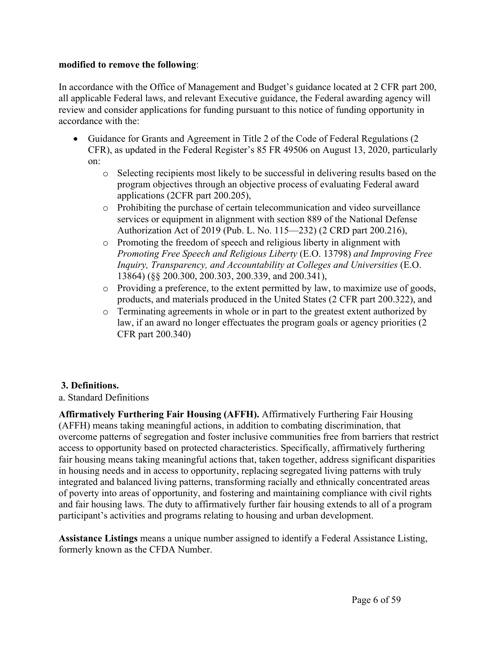#### **modified to remove the following**:

In accordance with the Office of Management and Budget's guidance located at 2 CFR part 200, all applicable Federal laws, and relevant Executive guidance, the Federal awarding agency will review and consider applications for funding pursuant to this notice of funding opportunity in accordance with the:

- Guidance for Grants and Agreement in Title 2 of the Code of Federal Regulations (2) CFR), as updated in the Federal Register's 85 FR 49506 on August 13, 2020, particularly on:
	- o Selecting recipients most likely to be successful in delivering results based on the program objectives through an objective process of evaluating Federal award applications (2CFR part 200.205),
	- o Prohibiting the purchase of certain telecommunication and video surveillance services or equipment in alignment with section 889 of the National Defense Authorization Act of 2019 (Pub. L. No. 115—232) (2 CRD part 200.216),
	- o Promoting the freedom of speech and religious liberty in alignment with *Promoting Free Speech and Religious Liberty* (E.O. 13798) *and Improving Free Inquiry, Transparency, and Accountability at Colleges and Universities* (E.O. 13864) (§§ 200.300, 200.303, 200.339, and 200.341),
	- o Providing a preference, to the extent permitted by law, to maximize use of goods, products, and materials produced in the United States (2 CFR part 200.322), and
	- o Terminating agreements in whole or in part to the greatest extent authorized by law, if an award no longer effectuates the program goals or agency priorities (2 CFR part 200.340)

# **3. Definitions.**

a. Standard Definitions

**Affirmatively Furthering Fair Housing (AFFH).** Affirmatively Furthering Fair Housing (AFFH) means taking meaningful actions, in addition to combating discrimination, that overcome patterns of segregation and foster inclusive communities free from barriers that restrict access to opportunity based on protected characteristics. Specifically, affirmatively furthering fair housing means taking meaningful actions that, taken together, address significant disparities in housing needs and in access to opportunity, replacing segregated living patterns with truly integrated and balanced living patterns, transforming racially and ethnically concentrated areas of poverty into areas of opportunity, and fostering and maintaining compliance with civil rights and fair housing laws. The duty to affirmatively further fair housing extends to all of a program participant's activities and programs relating to housing and urban development.

**Assistance Listings** means a unique number assigned to identify a Federal Assistance Listing, formerly known as the CFDA Number.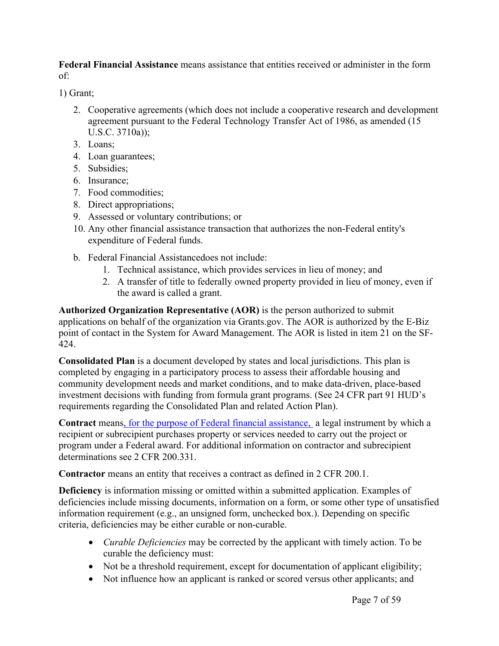**Federal Financial Assistance** means assistance that entities received or administer in the form of:

1) Grant;

- 2. Cooperative agreements (which does not include a cooperative research and development agreement pursuant to the Federal Technology Transfer Act of 1986, as amended (15 U.S.C. 3710a));
- 3. Loans;
- 4. Loan guarantees;
- 5. Subsidies;
- 6. Insurance;
- 7. Food commodities;
- 8. Direct appropriations;
- 9. Assessed or voluntary contributions; or
- 10. Any other financial assistance transaction that authorizes the non-Federal entity's expenditure of Federal funds.
- b. Federal Financial Assistancedoes not include:
	- 1. Technical assistance, which provides services in lieu of money; and
	- 2. A transfer of title to federally owned property provided in lieu of money, even if the award is called a grant.

**Authorized Organization Representative (AOR)** is the person authorized to submit applications on behalf of the organization via Grants.gov. The AOR is authorized by the E-Biz point of contact in the System for Award Management. The AOR is listed in item 21 on the SF-424.

**Consolidated Plan** is a document developed by states and local jurisdictions. This plan is completed by engaging in a participatory process to assess their affordable housing and community development needs and market conditions, and to make data-driven, place-based investment decisions with funding from formula grant programs. (See 24 CFR part 91 HUD's requirements regarding the Consolidated Plan and related Action Plan).

**Contract** means, for the purpose of Federal financial assistance, a legal instrument by which a recipient or subrecipient purchases property or services needed to carry out the project or program under a Federal award. For additional information on contractor and subrecipient determinations see 2 CFR 200.331.

**Contractor** means an entity that receives a contract as defined in 2 CFR 200.1.

**Deficiency** is information missing or omitted within a submitted application. Examples of deficiencies include missing documents, information on a form, or some other type of unsatisfied information requirement (e.g., an unsigned form, unchecked box.). Depending on specific criteria, deficiencies may be either curable or non-curable.

- *Curable Deficiencies* may be corrected by the applicant with timely action. To be curable the deficiency must:
- Not be a threshold requirement, except for documentation of applicant eligibility;
- Not influence how an applicant is ranked or scored versus other applicants; and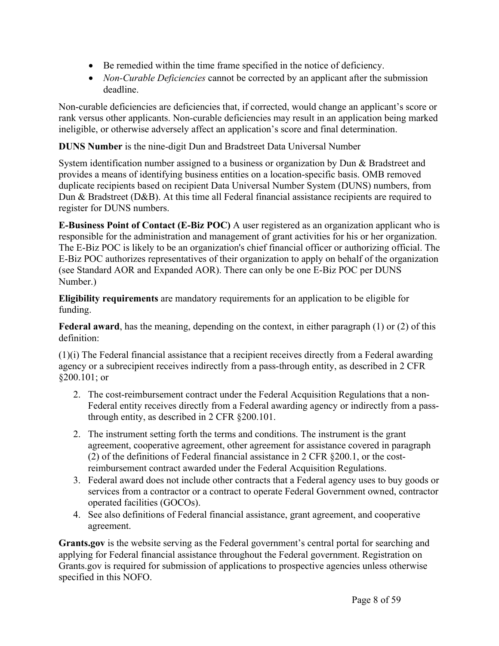- Be remedied within the time frame specified in the notice of deficiency.
- *Non-Curable Deficiencies* cannot be corrected by an applicant after the submission deadline.

Non-curable deficiencies are deficiencies that, if corrected, would change an applicant's score or rank versus other applicants. Non-curable deficiencies may result in an application being marked ineligible, or otherwise adversely affect an application's score and final determination.

**DUNS Number** is the nine-digit Dun and Bradstreet Data Universal Number

System identification number assigned to a business or organization by Dun & Bradstreet and provides a means of identifying business entities on a location-specific basis. OMB removed duplicate recipients based on recipient Data Universal Number System (DUNS) numbers, from Dun & Bradstreet (D&B). At this time all Federal financial assistance recipients are required to register for DUNS numbers.

**E-Business Point of Contact (E-Biz POC)** A user registered as an organization applicant who is responsible for the administration and management of grant activities for his or her organization. The E-Biz POC is likely to be an organization's chief financial officer or authorizing official. The E-Biz POC authorizes representatives of their organization to apply on behalf of the organization (see Standard AOR and Expanded AOR). There can only be one E-Biz POC per DUNS Number.)

**Eligibility requirements** are mandatory requirements for an application to be eligible for funding.

**Federal award**, has the meaning, depending on the context, in either paragraph (1) or (2) of this definition:

(1)(i) The Federal financial assistance that a recipient receives directly from a Federal awarding agency or a subrecipient receives indirectly from a pass-through entity, as described in 2 CFR §200.101; or

- 2. The cost-reimbursement contract under the Federal Acquisition Regulations that a non-Federal entity receives directly from a Federal awarding agency or indirectly from a passthrough entity, as described in 2 CFR §200.101.
- 2. The instrument setting forth the terms and conditions. The instrument is the grant agreement, cooperative agreement, other agreement for assistance covered in paragraph (2) of the definitions of Federal financial assistance in 2 CFR §200.1, or the costreimbursement contract awarded under the Federal Acquisition Regulations.
- 3. Federal award does not include other contracts that a Federal agency uses to buy goods or services from a contractor or a contract to operate Federal Government owned, contractor operated facilities (GOCOs).
- 4. See also definitions of Federal financial assistance, grant agreement, and cooperative agreement.

**Grants.gov** is the website serving as the Federal government's central portal for searching and applying for Federal financial assistance throughout the Federal government. Registration on Grants.gov is required for submission of applications to prospective agencies unless otherwise specified in this NOFO.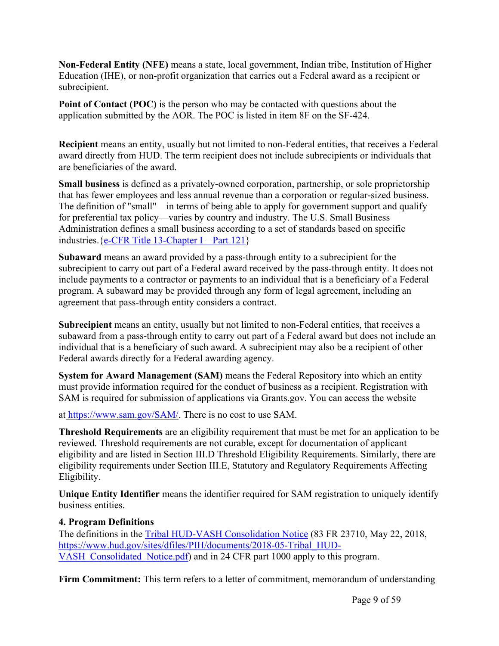**Non-Federal Entity (NFE)** means a state, local government, Indian tribe, Institution of Higher Education (IHE), or non-profit organization that carries out a Federal award as a recipient or subrecipient.

**Point of Contact (POC)** is the person who may be contacted with questions about the application submitted by the AOR. The POC is listed in item 8F on the SF-424.

**Recipient** means an entity, usually but not limited to non-Federal entities, that receives a Federal award directly from HUD. The term recipient does not include subrecipients or individuals that are beneficiaries of the award.

**Small business** is defined as a privately-owned corporation, partnership, or sole proprietorship that has fewer employees and less annual revenue than a corporation or regular-sized business. The definition of "small"—in terms of being able to apply for government support and qualify for preferential tax policy—varies by country and industry. The U.S. Small Business Administration defines a small business according to a set of standards based on specific industries.  ${e$ -CFR Title [13-Chapter](https://www.ecfr.gov/cgi-bin/text-idx?SID=0ff5f0839abff4eec707b4478ed733c6&mc=true&node=pt13.1.121&rgn=div5&se13.1.121_1101) I – Part 121}

**Subaward** means an award provided by a pass-through entity to a subrecipient for the subrecipient to carry out part of a Federal award received by the pass-through entity. It does not include payments to a contractor or payments to an individual that is a beneficiary of a Federal program. A subaward may be provided through any form of legal agreement, including an agreement that pass-through entity considers a contract.

**Subrecipient** means an entity, usually but not limited to non-Federal entities, that receives a subaward from a pass-through entity to carry out part of a Federal award but does not include an individual that is a beneficiary of such award. A subrecipient may also be a recipient of other Federal awards directly for a Federal awarding agency.

**System for Award Management (SAM)** means the Federal Repository into which an entity must provide information required for the conduct of business as a recipient. Registration with SAM is required for submission of applications via Grants.gov. You can access the website

at <https://www.sam.gov/SAM/>. There is no cost to use SAM.

**Threshold Requirements** are an eligibility requirement that must be met for an application to be reviewed. Threshold requirements are not curable, except for documentation of applicant eligibility and are listed in Section III.D Threshold Eligibility Requirements. Similarly, there are eligibility requirements under Section III.E, Statutory and Regulatory Requirements Affecting Eligibility.

**Unique Entity Identifier** means the identifier required for SAM registration to uniquely identify business entities.

# **4. Program Definitions**

The definitions in the Tribal HUD-VASH [Consolidation](https://www.hud.gov/sites/dfiles/PIH/documents/2018-05-Tribal_HUD-VASH_Consolidated_Notice.pdf) Notice (83 FR 23710, May 22, 2018, [https://www.hud.gov/sites/dfiles/PIH/documents/2018-05-Tribal\\_HUD-](https://www.hud.gov/sites/dfiles/PIH/documents/2018-05-Tribal_HUD-VASH_Consolidated_Notice.pdf)[VASH\\_Consolidated\\_Notice.pdf\)](https://www.hud.gov/sites/dfiles/PIH/documents/2018-05-Tribal_HUD-VASH_Consolidated_Notice.pdf) and in 24 CFR part 1000 apply to this program.

**Firm Commitment:** This term refers to a letter of commitment, memorandum of understanding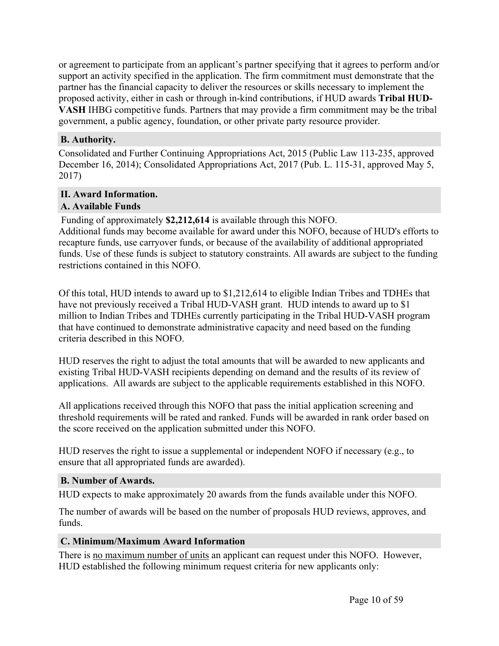or agreement to participate from an applicant's partner specifying that it agrees to perform and/or support an activity specified in the application. The firm commitment must demonstrate that the partner has the financial capacity to deliver the resources or skills necessary to implement the proposed activity, either in cash or through in-kind contributions, if HUD awards **Tribal HUD-VASH** IHBG competitive funds. Partners that may provide a firm commitment may be the tribal government, a public agency, foundation, or other private party resource provider.

#### <span id="page-10-0"></span>**B. Authority.**

Consolidated and Further Continuing Appropriations Act, 2015 (Public Law 113-235, approved December 16, 2014); Consolidated Appropriations Act, 2017 (Pub. L. 115-31, approved May 5, 2017)

# <span id="page-10-1"></span>**II. Award Information.**

### <span id="page-10-2"></span>**A. Available Funds**

Funding of approximately **\$2,212,614** is available through this NOFO.

Additional funds may become available for award under this NOFO, because of HUD's efforts to recapture funds, use carryover funds, or because of the availability of additional appropriated funds. Use of these funds is subject to statutory constraints. All awards are subject to the funding restrictions contained in this NOFO.

Of this total, HUD intends to award up to \$1,212,614 to eligible Indian Tribes and TDHEs that have not previously received a Tribal HUD-VASH grant. HUD intends to award up to \$1 million to Indian Tribes and TDHEs currently participating in the Tribal HUD-VASH program that have continued to demonstrate administrative capacity and need based on the funding criteria described in this NOFO.

HUD reserves the right to adjust the total amounts that will be awarded to new applicants and existing Tribal HUD-VASH recipients depending on demand and the results of its review of applications. All awards are subject to the applicable requirements established in this NOFO.

All applications received through this NOFO that pass the initial application screening and threshold requirements will be rated and ranked. Funds will be awarded in rank order based on the score received on the application submitted under this NOFO.

HUD reserves the right to issue a supplemental or independent NOFO if necessary (e.g., to ensure that all appropriated funds are awarded).

#### <span id="page-10-3"></span>**B. Number of Awards.**

HUD expects to make approximately 20 awards from the funds available under this NOFO.

The number of awards will be based on the number of proposals HUD reviews, approves, and funds.

# <span id="page-10-4"></span>**C. Minimum/Maximum Award Information**

There is no maximum number of units an applicant can request under this NOFO. However, HUD established the following minimum request criteria for new applicants only: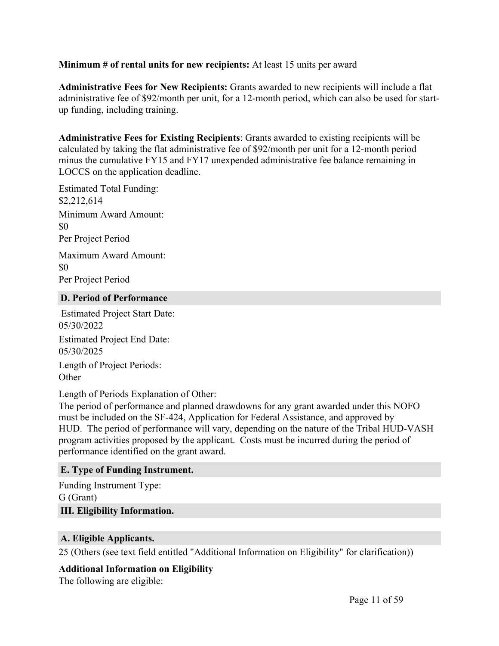#### **Minimum # of rental units for new recipients:** At least 15 units per award

**Administrative Fees for New Recipients:** Grants awarded to new recipients will include a flat administrative fee of \$92/month per unit, for a 12-month period, which can also be used for startup funding, including training.

**Administrative Fees for Existing Recipients**: Grants awarded to existing recipients will be calculated by taking the flat administrative fee of \$92/month per unit for a 12-month period minus the cumulative FY15 and FY17 unexpended administrative fee balance remaining in LOCCS on the application deadline.

Estimated Total Funding: \$2,212,614 Minimum Award Amount: \$0 Per Project Period

Maximum Award Amount: \$0 Per Project Period

#### <span id="page-11-0"></span>**D. Period of Performance**

Estimated Project Start Date: 05/30/2022 Estimated Project End Date: 05/30/2025 Length of Project Periods: **Other** 

Length of Periods Explanation of Other:

The period of performance and planned drawdowns for any grant awarded under this NOFO must be included on the SF-424, Application for Federal Assistance, and approved by HUD. The period of performance will vary, depending on the nature of the Tribal HUD-VASH program activities proposed by the applicant. Costs must be incurred during the period of performance identified on the grant award.

#### <span id="page-11-1"></span>**E. Type of Funding Instrument.**

<span id="page-11-2"></span>Funding Instrument Type: G (Grant) **III. Eligibility Information.**

#### <span id="page-11-3"></span>**A. Eligible Applicants.**

25 (Others (see text field entitled "Additional Information on Eligibility" for clarification))

# **Additional Information on Eligibility**

The following are eligible: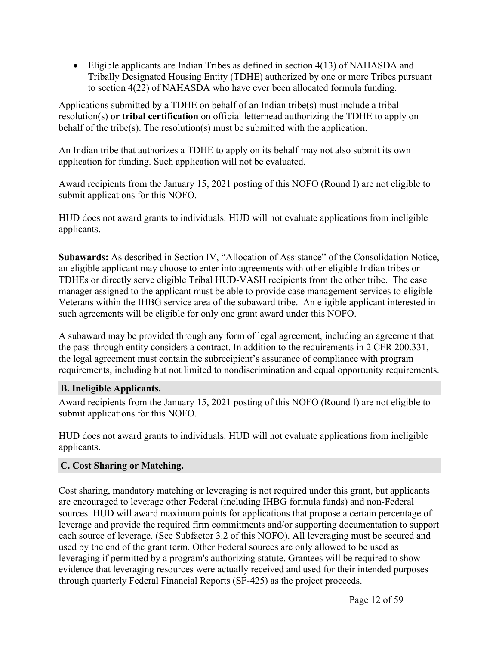Eligible applicants are Indian Tribes as defined in section 4(13) of NAHASDA and Tribally Designated Housing Entity (TDHE) authorized by one or more Tribes pursuant to section 4(22) of NAHASDA who have ever been allocated formula funding.

Applications submitted by a TDHE on behalf of an Indian tribe(s) must include a tribal resolution(s) **or tribal certification** on official letterhead authorizing the TDHE to apply on behalf of the tribe(s). The resolution(s) must be submitted with the application.

An Indian tribe that authorizes a TDHE to apply on its behalf may not also submit its own application for funding. Such application will not be evaluated.

Award recipients from the January 15, 2021 posting of this NOFO (Round I) are not eligible to submit applications for this NOFO.

HUD does not award grants to individuals. HUD will not evaluate applications from ineligible applicants.

**Subawards:** As described in Section IV, "Allocation of Assistance" of the Consolidation Notice, an eligible applicant may choose to enter into agreements with other eligible Indian tribes or TDHEs or directly serve eligible Tribal HUD-VASH recipients from the other tribe. The case manager assigned to the applicant must be able to provide case management services to eligible Veterans within the IHBG service area of the subaward tribe. An eligible applicant interested in such agreements will be eligible for only one grant award under this NOFO.

A subaward may be provided through any form of legal agreement, including an agreement that the pass-through entity considers a contract. In addition to the requirements in 2 CFR 200.331, the legal agreement must contain the subrecipient's assurance of compliance with program requirements, including but not limited to nondiscrimination and equal opportunity requirements.

# <span id="page-12-0"></span>**B. Ineligible Applicants.**

Award recipients from the January 15, 2021 posting of this NOFO (Round I) are not eligible to submit applications for this NOFO.

HUD does not award grants to individuals. HUD will not evaluate applications from ineligible applicants.

# <span id="page-12-1"></span>**C. Cost Sharing or Matching.**

Cost sharing, mandatory matching or leveraging is not required under this grant, but applicants are encouraged to leverage other Federal (including IHBG formula funds) and non-Federal sources. HUD will award maximum points for applications that propose a certain percentage of leverage and provide the required firm commitments and/or supporting documentation to support each source of leverage. (See Subfactor 3.2 of this NOFO). All leveraging must be secured and used by the end of the grant term. Other Federal sources are only allowed to be used as leveraging if permitted by a program's authorizing statute. Grantees will be required to show evidence that leveraging resources were actually received and used for their intended purposes through quarterly Federal Financial Reports (SF-425) as the project proceeds.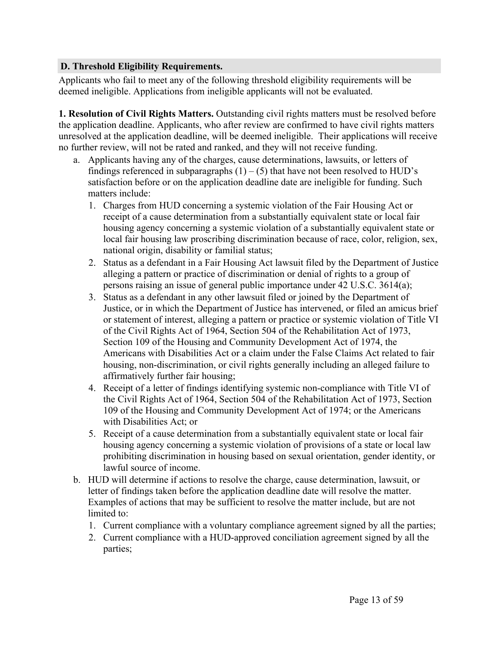#### <span id="page-13-0"></span>**D. Threshold Eligibility Requirements.**

Applicants who fail to meet any of the following threshold eligibility requirements will be deemed ineligible. Applications from ineligible applicants will not be evaluated.

**1. Resolution of Civil Rights Matters.** Outstanding civil rights matters must be resolved before the application deadline. Applicants, who after review are confirmed to have civil rights matters unresolved at the application deadline, will be deemed ineligible. Their applications will receive no further review, will not be rated and ranked, and they will not receive funding.

- a. Applicants having any of the charges, cause determinations, lawsuits, or letters of findings referenced in subparagraphs  $(1) - (5)$  that have not been resolved to HUD's satisfaction before or on the application deadline date are ineligible for funding. Such matters include:
	- 1. Charges from HUD concerning a systemic violation of the Fair Housing Act or receipt of a cause determination from a substantially equivalent state or local fair housing agency concerning a systemic violation of a substantially equivalent state or local fair housing law proscribing discrimination because of race, color, religion, sex, national origin, disability or familial status;
	- 2. Status as a defendant in a Fair Housing Act lawsuit filed by the Department of Justice alleging a pattern or practice of discrimination or denial of rights to a group of persons raising an issue of general public importance under 42 U.S.C. 3614(a);
	- 3. Status as a defendant in any other lawsuit filed or joined by the Department of Justice, or in which the Department of Justice has intervened, or filed an amicus brief or statement of interest, alleging a pattern or practice or systemic violation of Title VI of the Civil Rights Act of 1964, Section 504 of the Rehabilitation Act of 1973, Section 109 of the Housing and Community Development Act of 1974, the Americans with Disabilities Act or a claim under the False Claims Act related to fair housing, non-discrimination, or civil rights generally including an alleged failure to affirmatively further fair housing;
	- 4. Receipt of a letter of findings identifying systemic non-compliance with Title VI of the Civil Rights Act of 1964, Section 504 of the Rehabilitation Act of 1973, Section 109 of the Housing and Community Development Act of 1974; or the Americans with Disabilities Act; or
	- 5. Receipt of a cause determination from a substantially equivalent state or local fair housing agency concerning a systemic violation of provisions of a state or local law prohibiting discrimination in housing based on sexual orientation, gender identity, or lawful source of income.
- b. HUD will determine if actions to resolve the charge, cause determination, lawsuit, or letter of findings taken before the application deadline date will resolve the matter. Examples of actions that may be sufficient to resolve the matter include, but are not limited to:
	- 1. Current compliance with a voluntary compliance agreement signed by all the parties;
	- 2. Current compliance with a HUD-approved conciliation agreement signed by all the parties;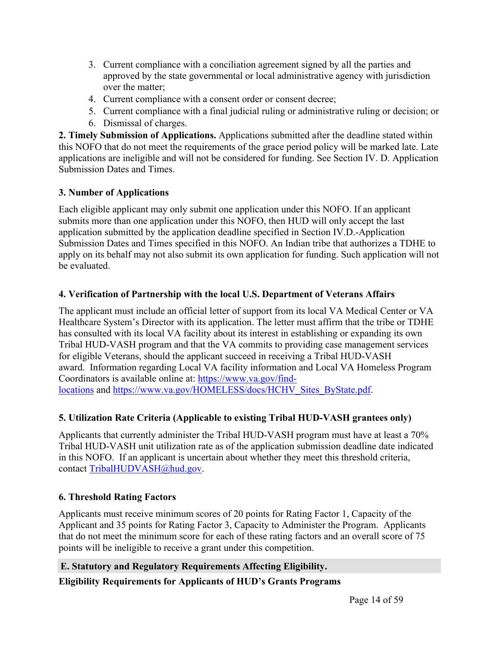- 3. Current compliance with a conciliation agreement signed by all the parties and approved by the state governmental or local administrative agency with jurisdiction over the matter;
- 4. Current compliance with a consent order or consent decree;
- 5. Current compliance with a final judicial ruling or administrative ruling or decision; or
- 6. Dismissal of charges.

**2. Timely Submission of Applications.** Applications submitted after the deadline stated within this NOFO that do not meet the requirements of the grace period policy will be marked late. Late applications are ineligible and will not be considered for funding. See Section IV. D. Application Submission Dates and Times.

# **3. Number of Applications**

Each eligible applicant may only submit one application under this NOFO. If an applicant submits more than one application under this NOFO, then HUD will only accept the last application submitted by the application deadline specified in Section IV.D.-Application Submission Dates and Times specified in this NOFO. An Indian tribe that authorizes a TDHE to apply on its behalf may not also submit its own application for funding. Such application will not be evaluated.

# **4. Verification of Partnership with the local U.S. Department of Veterans Affairs**

The applicant must include an official letter of support from its local VA Medical Center or VA Healthcare System's Director with its application. The letter must affirm that the tribe or TDHE has consulted with its local VA facility about its interest in establishing or expanding its own Tribal HUD-VASH program and that the VA commits to providing case management services for eligible Veterans, should the applicant succeed in receiving a Tribal HUD-VASH award. Information regarding Local VA facility information and Local VA Homeless Program Coordinators is available online at: [https://www.va.gov/find](https://www.va.gov/find-locations)[locations](https://www.va.gov/find-locations) and [https://www.va.gov/HOMELESS/docs/HCHV\\_Sites\\_ByState.pdf.](https://www.va.gov/HOMELESS/docs/HCHV_Sites_ByState.pdf)

# **5. Utilization Rate Criteria (Applicable to existing Tribal HUD-VASH grantees only)**

Applicants that currently administer the Tribal HUD-VASH program must have at least a 70% Tribal HUD-VASH unit utilization rate as of the application submission deadline date indicated in this NOFO. If an applicant is uncertain about whether they meet this threshold criteria, contact [TribalHUDVASH@hud.gov.](https://hudgov-my.sharepoint.com/personal/marco_c_santos_hud_gov/Documents/Tribal%20HUD-VASH/THV%20expansion/clearance%20comments/<a href=)

# **6. Threshold Rating Factors**

Applicants must receive minimum scores of 20 points for Rating Factor 1, Capacity of the Applicant and 35 points for Rating Factor 3, Capacity to Administer the Program. Applicants that do not meet the minimum score for each of these rating factors and an overall score of 75 points will be ineligible to receive a grant under this competition.

# <span id="page-14-0"></span>**E. Statutory and Regulatory Requirements Affecting Eligibility.**

# **Eligibility Requirements for Applicants of HUD's Grants Programs**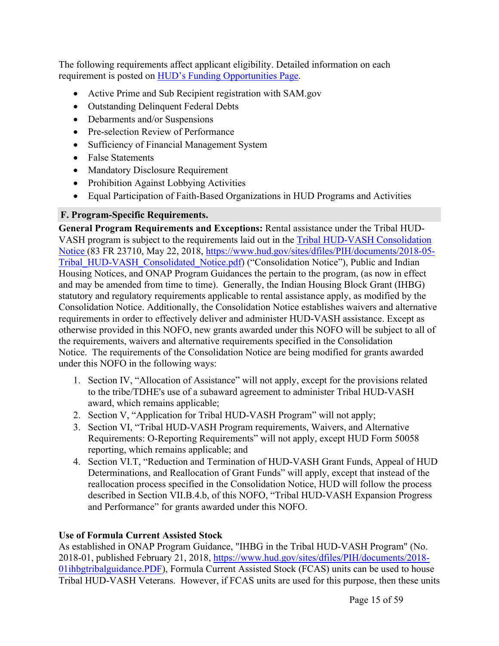The following requirements affect applicant eligibility. Detailed information on each requirement is posted on HUD's Funding [Opportunities](https://www.hud.gov/program_offices/spm/gmomgmt/grantsinfo/fundingopps) Page.

- Active Prime and Sub Recipient registration with SAM.gov
- Outstanding Delinquent Federal Debts
- Debarments and/or Suspensions
- Pre-selection Review of Performance
- Sufficiency of Financial Management System
- False Statements
- Mandatory Disclosure Requirement
- Prohibition Against Lobbying Activities
- Equal Participation of Faith-Based Organizations in HUD Programs and Activities

# <span id="page-15-0"></span>**F. Program-Specific Requirements.**

**General Program Requirements and Exceptions:** Rental assistance under the Tribal HUD-VASH program is subject to the requirements laid out in the Tribal HUD-VASH [Consolidation](https://www.hud.gov/sites/dfiles/PIH/documents/2018-05-Tribal_HUD-VASH_Consolidated_Notice.pdf) [Notice](https://www.hud.gov/sites/dfiles/PIH/documents/2018-05-Tribal_HUD-VASH_Consolidated_Notice.pdf) (83 FR 23710, May 22, 2018, [https://www.hud.gov/sites/dfiles/PIH/documents/2018-05-](https://www.hud.gov/sites/dfiles/PIH/documents/2018-05-Tribal_HUD-VASH_Consolidated_Notice.pdf) [Tribal\\_HUD-VASH\\_Consolidated\\_Notice.pdf](https://www.hud.gov/sites/dfiles/PIH/documents/2018-05-Tribal_HUD-VASH_Consolidated_Notice.pdf)) ("Consolidation Notice"), Public and Indian Housing Notices, and ONAP Program Guidances the pertain to the program, (as now in effect and may be amended from time to time). Generally, the Indian Housing Block Grant (IHBG) statutory and regulatory requirements applicable to rental assistance apply, as modified by the Consolidation Notice. Additionally, the Consolidation Notice establishes waivers and alternative requirements in order to effectively deliver and administer HUD-VASH assistance. Except as otherwise provided in this NOFO, new grants awarded under this NOFO will be subject to all of the requirements, waivers and alternative requirements specified in the Consolidation Notice. The requirements of the Consolidation Notice are being modified for grants awarded under this NOFO in the following ways:

- 1. Section IV, "Allocation of Assistance" will not apply, except for the provisions related to the tribe/TDHE's use of a subaward agreement to administer Tribal HUD-VASH award, which remains applicable;
- 2. Section V, "Application for Tribal HUD-VASH Program" will not apply;
- 3. Section VI, "Tribal HUD-VASH Program requirements, Waivers, and Alternative Requirements: O-Reporting Requirements" will not apply, except HUD Form 50058 reporting, which remains applicable; and
- 4. Section VI.T, "Reduction and Termination of HUD-VASH Grant Funds, Appeal of HUD Determinations, and Reallocation of Grant Funds" will apply, except that instead of the reallocation process specified in the Consolidation Notice, HUD will follow the process described in Section VII.B.4.b, of this NOFO, "Tribal HUD-VASH Expansion Progress and Performance" for grants awarded under this NOFO.

# **Use of Formula Current Assisted Stock**

As established in ONAP Program Guidance, "IHBG in the Tribal HUD-VASH Program" (No. 2018-01, published February 21, 2018, [https://www.hud.gov/sites/dfiles/PIH/documents/2018-](https://www.hud.gov/sites/dfiles/PIH/documents/2018-01ihbgtribalguidance.PDF) [01ihbgtribalguidance.PDF\)](https://www.hud.gov/sites/dfiles/PIH/documents/2018-01ihbgtribalguidance.PDF), Formula Current Assisted Stock (FCAS) units can be used to house Tribal HUD-VASH Veterans. However, if FCAS units are used for this purpose, then these units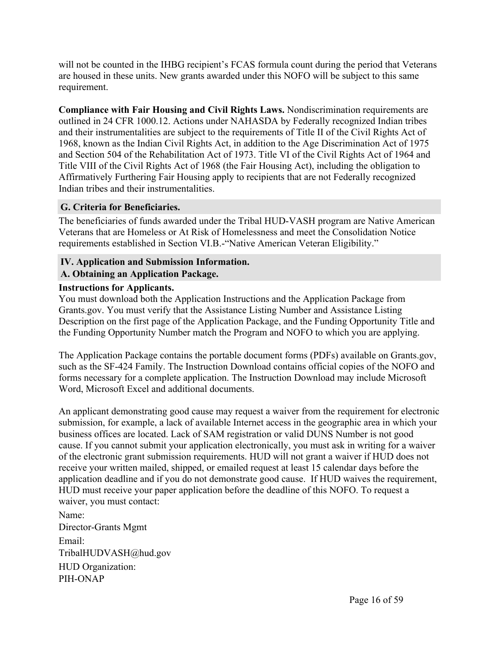will not be counted in the IHBG recipient's FCAS formula count during the period that Veterans are housed in these units. New grants awarded under this NOFO will be subject to this same requirement.

**Compliance with Fair Housing and Civil Rights Laws.** Nondiscrimination requirements are outlined in 24 CFR 1000.12. Actions under NAHASDA by Federally recognized Indian tribes and their instrumentalities are subject to the requirements of Title II of the Civil Rights Act of 1968, known as the Indian Civil Rights Act, in addition to the Age Discrimination Act of 1975 and Section 504 of the Rehabilitation Act of 1973. Title VI of the Civil Rights Act of 1964 and Title VIII of the Civil Rights Act of 1968 (the Fair Housing Act), including the obligation to Affirmatively Furthering Fair Housing apply to recipients that are not Federally recognized Indian tribes and their instrumentalities.

#### <span id="page-16-0"></span>**G. Criteria for Beneficiaries.**

The beneficiaries of funds awarded under the Tribal HUD-VASH program are Native American Veterans that are Homeless or At Risk of Homelessness and meet the Consolidation Notice requirements established in Section VI.B.-"Native American Veteran Eligibility."

# <span id="page-16-1"></span>**IV. Application and Submission Information.**

#### <span id="page-16-2"></span>**A. Obtaining an Application Package.**

#### **Instructions for Applicants.**

You must download both the Application Instructions and the Application Package from Grants.gov. You must verify that the Assistance Listing Number and Assistance Listing Description on the first page of the Application Package, and the Funding Opportunity Title and the Funding Opportunity Number match the Program and NOFO to which you are applying.

The Application Package contains the portable document forms (PDFs) available on Grants.gov, such as the SF-424 Family. The Instruction Download contains official copies of the NOFO and forms necessary for a complete application. The Instruction Download may include Microsoft Word, Microsoft Excel and additional documents.

An applicant demonstrating good cause may request a waiver from the requirement for electronic submission, for example, a lack of available Internet access in the geographic area in which your business offices are located. Lack of SAM registration or valid DUNS Number is not good cause. If you cannot submit your application electronically, you must ask in writing for a waiver of the electronic grant submission requirements. HUD will not grant a waiver if HUD does not receive your written mailed, shipped, or emailed request at least 15 calendar days before the application deadline and if you do not demonstrate good cause. If HUD waives the requirement, HUD must receive your paper application before the deadline of this NOFO. To request a waiver, you must contact:

Name: Director-Grants Mgmt Email: TribalHUDVASH@hud.gov HUD Organization: PIH-ONAP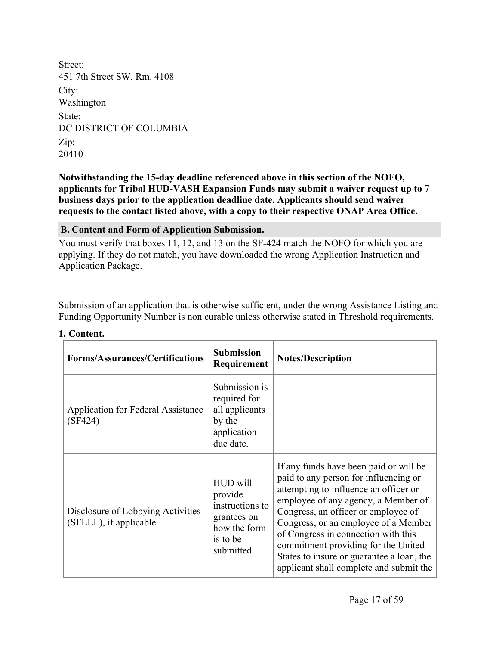Street: 451 7th Street SW, Rm. 4108 City: Washington State: DC DISTRICT OF COLUMBIA Zip: 20410

**Notwithstanding the 15-day deadline referenced above in this section of the NOFO, applicants for Tribal HUD-VASH Expansion Funds may submit a waiver request up to 7 business days prior to the application deadline date. Applicants should send waiver requests to the contact listed above, with a copy to their respective ONAP Area Office.**

<span id="page-17-0"></span>**B. Content and Form of Application Submission.**

You must verify that boxes 11, 12, and 13 on the SF-424 match the NOFO for which you are applying. If they do not match, you have downloaded the wrong Application Instruction and Application Package.

Submission of an application that is otherwise sufficient, under the wrong Assistance Listing and Funding Opportunity Number is non curable unless otherwise stated in Threshold requirements.

| <b>Forms/Assurances/Certifications</b>                      | <b>Submission</b><br>Requirement                                                                | <b>Notes/Description</b>                                                                                                                                                                                                                                                                                                                                                                                             |
|-------------------------------------------------------------|-------------------------------------------------------------------------------------------------|----------------------------------------------------------------------------------------------------------------------------------------------------------------------------------------------------------------------------------------------------------------------------------------------------------------------------------------------------------------------------------------------------------------------|
| Application for Federal Assistance<br>(SF424)               | Submission is<br>required for<br>all applicants<br>by the<br>application<br>due date.           |                                                                                                                                                                                                                                                                                                                                                                                                                      |
| Disclosure of Lobbying Activities<br>(SFLLL), if applicable | HUD will<br>provide<br>instructions to<br>grantees on<br>how the form<br>is to be<br>submitted. | If any funds have been paid or will be<br>paid to any person for influencing or<br>attempting to influence an officer or<br>employee of any agency, a Member of<br>Congress, an officer or employee of<br>Congress, or an employee of a Member<br>of Congress in connection with this<br>commitment providing for the United<br>States to insure or guarantee a loan, the<br>applicant shall complete and submit the |

#### **1. Content.**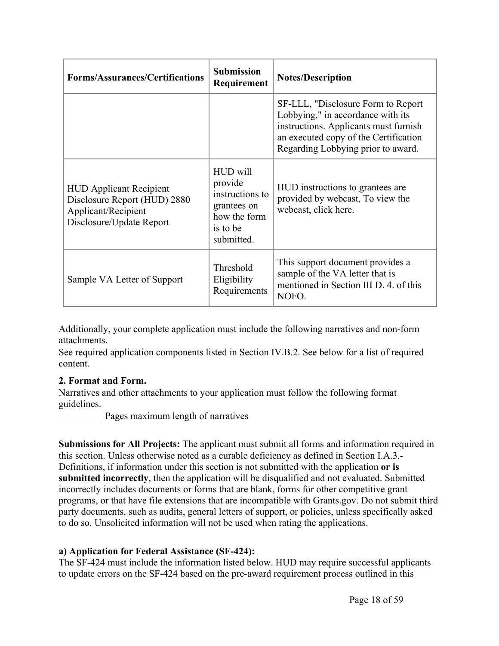| <b>Forms/Assurances/Certifications</b>                                                                            | <b>Submission</b><br>Requirement                                                                | <b>Notes/Description</b>                                                                                                                                                                         |
|-------------------------------------------------------------------------------------------------------------------|-------------------------------------------------------------------------------------------------|--------------------------------------------------------------------------------------------------------------------------------------------------------------------------------------------------|
|                                                                                                                   |                                                                                                 | SF-LLL, "Disclosure Form to Report"<br>Lobbying," in accordance with its<br>instructions. Applicants must furnish<br>an executed copy of the Certification<br>Regarding Lobbying prior to award. |
| <b>HUD Applicant Recipient</b><br>Disclosure Report (HUD) 2880<br>Applicant/Recipient<br>Disclosure/Update Report | HUD will<br>provide<br>instructions to<br>grantees on<br>how the form<br>is to be<br>submitted. | HUD instructions to grantees are<br>provided by webcast, To view the<br>webcast, click here.                                                                                                     |
| Sample VA Letter of Support                                                                                       | Threshold<br>Eligibility<br>Requirements                                                        | This support document provides a<br>sample of the VA letter that is<br>mentioned in Section III D. 4. of this<br>NOFO.                                                                           |

Additionally, your complete application must include the following narratives and non-form attachments.

See required application components listed in Section IV.B.2. See below for a list of required content.

#### **2. Format and Form.**

Narratives and other attachments to your application must follow the following format guidelines.

Pages maximum length of narratives

**Submissions for All Projects:** The applicant must submit all forms and information required in this section. Unless otherwise noted as a curable deficiency as defined in Section I.A.3.- Definitions, if information under this section is not submitted with the application **or is submitted incorrectly**, then the application will be disqualified and not evaluated. Submitted incorrectly includes documents or forms that are blank, forms for other competitive grant programs, or that have file extensions that are incompatible with Grants.gov. Do not submit third party documents, such as audits, general letters of support, or policies, unless specifically asked to do so. Unsolicited information will not be used when rating the applications.

# **a) Application for Federal Assistance (SF-424):**

The SF-424 must include the information listed below. HUD may require successful applicants to update errors on the SF-424 based on the pre-award requirement process outlined in this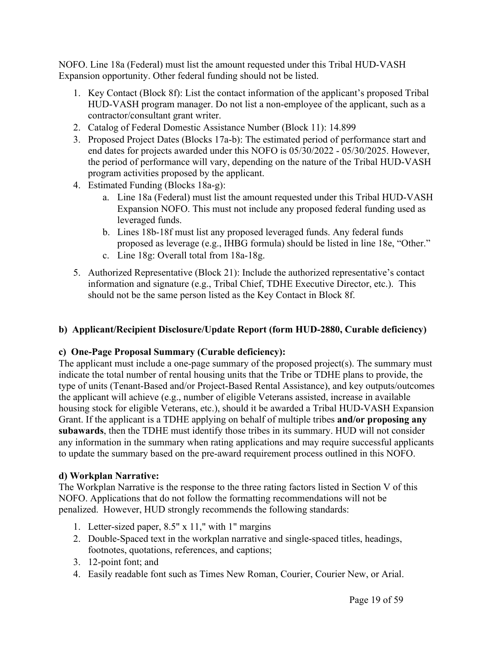NOFO. Line 18a (Federal) must list the amount requested under this Tribal HUD-VASH Expansion opportunity. Other federal funding should not be listed.

- 1. Key Contact (Block 8f): List the contact information of the applicant's proposed Tribal HUD-VASH program manager. Do not list a non-employee of the applicant, such as a contractor/consultant grant writer.
- 2. Catalog of Federal Domestic Assistance Number (Block 11): 14.899
- 3. Proposed Project Dates (Blocks 17a-b): The estimated period of performance start and end dates for projects awarded under this NOFO is 05/30/2022 - 05/30/2025. However, the period of performance will vary, depending on the nature of the Tribal HUD-VASH program activities proposed by the applicant.
- 4. Estimated Funding (Blocks 18a-g):
	- a. Line 18a (Federal) must list the amount requested under this Tribal HUD-VASH Expansion NOFO. This must not include any proposed federal funding used as leveraged funds.
	- b. Lines 18b-18f must list any proposed leveraged funds. Any federal funds proposed as leverage (e.g., IHBG formula) should be listed in line 18e, "Other."
	- c. Line 18g: Overall total from 18a-18g.
- 5. Authorized Representative (Block 21): Include the authorized representative's contact information and signature (e.g., Tribal Chief, TDHE Executive Director, etc.). This should not be the same person listed as the Key Contact in Block 8f.

# **b) Applicant/Recipient Disclosure/Update Report (form HUD-2880, Curable deficiency)**

#### **c) One-Page Proposal Summary (Curable deficiency):**

The applicant must include a one-page summary of the proposed project(s). The summary must indicate the total number of rental housing units that the Tribe or TDHE plans to provide, the type of units (Tenant-Based and/or Project-Based Rental Assistance), and key outputs/outcomes the applicant will achieve (e.g., number of eligible Veterans assisted, increase in available housing stock for eligible Veterans, etc.), should it be awarded a Tribal HUD-VASH Expansion Grant. If the applicant is a TDHE applying on behalf of multiple tribes **and/or proposing any subawards**, then the TDHE must identify those tribes in its summary. HUD will not consider any information in the summary when rating applications and may require successful applicants to update the summary based on the pre-award requirement process outlined in this NOFO.

#### **d) Workplan Narrative:**

The Workplan Narrative is the response to the three rating factors listed in Section V of this NOFO. Applications that do not follow the formatting recommendations will not be penalized. However, HUD strongly recommends the following standards:

- 1. Letter-sized paper, 8.5" x 11," with 1" margins
- 2. Double-Spaced text in the workplan narrative and single-spaced titles, headings, footnotes, quotations, references, and captions;
- 3. 12-point font; and
- 4. Easily readable font such as Times New Roman, Courier, Courier New, or Arial.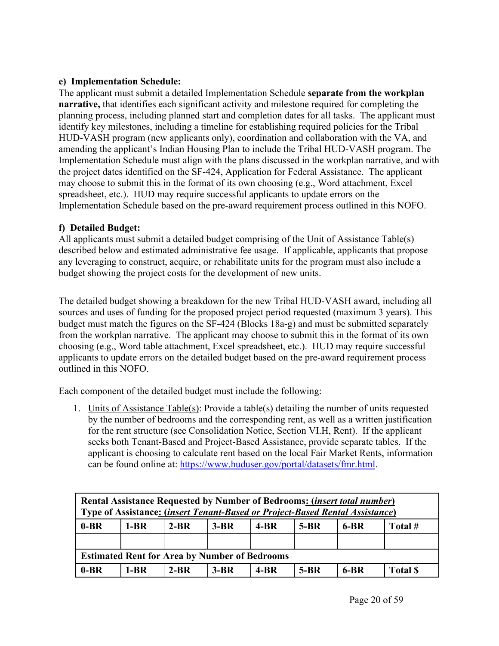# **e) Implementation Schedule:**

The applicant must submit a detailed Implementation Schedule **separate from the workplan narrative,** that identifies each significant activity and milestone required for completing the planning process, including planned start and completion dates for all tasks. The applicant must identify key milestones, including a timeline for establishing required policies for the Tribal HUD-VASH program (new applicants only), coordination and collaboration with the VA, and amending the applicant's Indian Housing Plan to include the Tribal HUD-VASH program. The Implementation Schedule must align with the plans discussed in the workplan narrative, and with the project dates identified on the SF-424, Application for Federal Assistance. The applicant may choose to submit this in the format of its own choosing (e.g., Word attachment, Excel spreadsheet, etc.). HUD may require successful applicants to update errors on the Implementation Schedule based on the pre-award requirement process outlined in this NOFO.

### **f) Detailed Budget:**

All applicants must submit a detailed budget comprising of the Unit of Assistance Table(s) described below and estimated administrative fee usage. If applicable, applicants that propose any leveraging to construct, acquire, or rehabilitate units for the program must also include a budget showing the project costs for the development of new units.

The detailed budget showing a breakdown for the new Tribal HUD-VASH award, including all sources and uses of funding for the proposed project period requested (maximum 3 years). This budget must match the figures on the SF-424 (Blocks 18a-g) and must be submitted separately from the workplan narrative. The applicant may choose to submit this in the format of its own choosing (e.g., Word table attachment, Excel spreadsheet, etc.). HUD may require successful applicants to update errors on the detailed budget based on the pre-award requirement process outlined in this NOFO.

Each component of the detailed budget must include the following:

1. Units of Assistance Table(s): Provide a table(s) detailing the number of units requested by the number of bedrooms and the corresponding rent, as well as a written justification for the rent structure (see Consolidation Notice, Section VI.H, Rent). If the applicant seeks both Tenant-Based and Project-Based Assistance, provide separate tables. If the applicant is choosing to calculate rent based on the local Fair Market Rents, information can be found online at: [https://www.huduser.gov/portal/datasets/fmr.html.](https://www.huduser.gov/portal/datasets/fmr.html)

| <b>Rental Assistance Requested by Number of Bedrooms: (insert total number)</b><br>Type of Assistance: (insert Tenant-Based or Project-Based Rental Assistance) |        |          |        |          |        |        |                 |
|-----------------------------------------------------------------------------------------------------------------------------------------------------------------|--------|----------|--------|----------|--------|--------|-----------------|
| $0-BR$                                                                                                                                                          | $1-BR$ | $2 - BR$ | $3-BR$ | $4 - BR$ | $5-BR$ | 6-BR   | Total #         |
|                                                                                                                                                                 |        |          |        |          |        |        |                 |
| <b>Estimated Rent for Area by Number of Bedrooms</b>                                                                                                            |        |          |        |          |        |        |                 |
| $0-BR$                                                                                                                                                          | $1-BR$ | $2-BR$   | $3-BR$ | $4-BR$   | $5-BR$ | $6-BR$ | <b>Total \$</b> |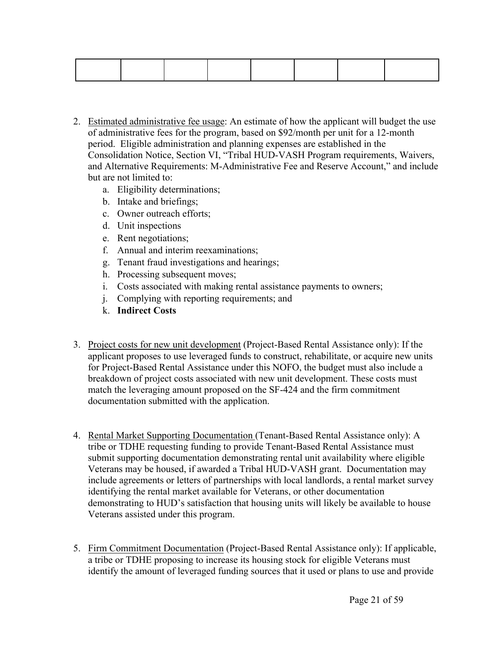- 2. Estimated administrative fee usage: An estimate of how the applicant will budget the use of administrative fees for the program, based on \$92/month per unit for a 12-month period. Eligible administration and planning expenses are established in the Consolidation Notice, Section VI, "Tribal HUD-VASH Program requirements, Waivers, and Alternative Requirements: M-Administrative Fee and Reserve Account," and include but are not limited to:
	- a. Eligibility determinations;
	- b. Intake and briefings;
	- c. Owner outreach efforts;
	- d. Unit inspections
	- e. Rent negotiations;
	- f. Annual and interim reexaminations;
	- g. Tenant fraud investigations and hearings;
	- h. Processing subsequent moves;
	- i. Costs associated with making rental assistance payments to owners;
	- j. Complying with reporting requirements; and
	- k. **Indirect Costs**
- 3. Project costs for new unit development (Project-Based Rental Assistance only): If the applicant proposes to use leveraged funds to construct, rehabilitate, or acquire new units for Project-Based Rental Assistance under this NOFO, the budget must also include a breakdown of project costs associated with new unit development. These costs must match the leveraging amount proposed on the SF-424 and the firm commitment documentation submitted with the application.
- 4. Rental Market Supporting Documentation (Tenant-Based Rental Assistance only): A tribe or TDHE requesting funding to provide Tenant-Based Rental Assistance must submit supporting documentation demonstrating rental unit availability where eligible Veterans may be housed, if awarded a Tribal HUD-VASH grant. Documentation may include agreements or letters of partnerships with local landlords, a rental market survey identifying the rental market available for Veterans, or other documentation demonstrating to HUD's satisfaction that housing units will likely be available to house Veterans assisted under this program.
- 5. Firm Commitment Documentation (Project-Based Rental Assistance only): If applicable, a tribe or TDHE proposing to increase its housing stock for eligible Veterans must identify the amount of leveraged funding sources that it used or plans to use and provide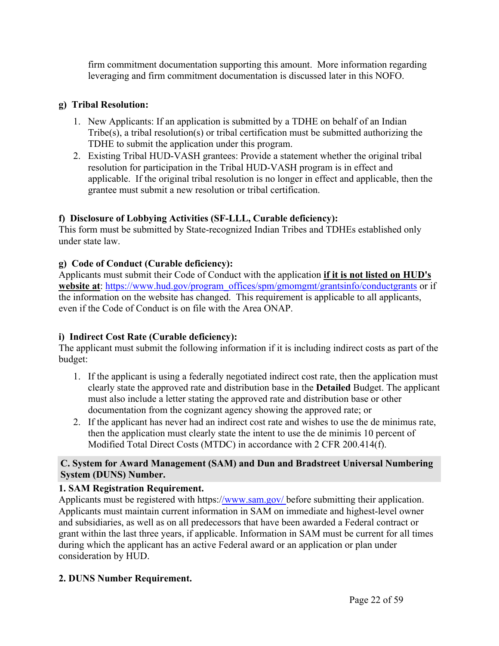firm commitment documentation supporting this amount. More information regarding leveraging and firm commitment documentation is discussed later in this NOFO.

# **g) Tribal Resolution:**

- 1. New Applicants: If an application is submitted by a TDHE on behalf of an Indian Tribe(s), a tribal resolution(s) or tribal certification must be submitted authorizing the TDHE to submit the application under this program.
- 2. Existing Tribal HUD-VASH grantees: Provide a statement whether the original tribal resolution for participation in the Tribal HUD-VASH program is in effect and applicable. If the original tribal resolution is no longer in effect and applicable, then the grantee must submit a new resolution or tribal certification.

# **f) Disclosure of Lobbying Activities (SF-LLL, Curable deficiency):**

This form must be submitted by State-recognized Indian Tribes and TDHEs established only under state law.

# **g) Code of Conduct (Curable deficiency):**

Applicants must submit their Code of Conduct with the application **if it is not listed on HUD's website at**: [https://www.hud.gov/program\\_offices/spm/gmomgmt/grantsinfo/conductgrants](https://www.hud.gov/program_offices/spm/gmomgmt/grantsinfo/conductgrants) or if the information on the website has changed. This requirement is applicable to all applicants, even if the Code of Conduct is on file with the Area ONAP.

# **i) Indirect Cost Rate (Curable deficiency):**

The applicant must submit the following information if it is including indirect costs as part of the budget:

- 1. If the applicant is using a federally negotiated indirect cost rate, then the application must clearly state the approved rate and distribution base in the **Detailed** Budget. The applicant must also include a letter stating the approved rate and distribution base or other documentation from the cognizant agency showing the approved rate; or
- 2. If the applicant has never had an indirect cost rate and wishes to use the de minimus rate, then the application must clearly state the intent to use the de minimis 10 percent of Modified Total Direct Costs (MTDC) in accordance with 2 CFR 200.414(f).

#### <span id="page-22-0"></span>**C. System for Award Management (SAM) and Dun and Bradstreet Universal Numbering System (DUNS) Number.**

# **1. SAM Registration Requirement.**

Applicants must be registered with https:[//www.sam.gov/](http://www.sam.gov/) before submitting their application. Applicants must maintain current information in SAM on immediate and highest-level owner and subsidiaries, as well as on all predecessors that have been awarded a Federal contract or grant within the last three years, if applicable. Information in SAM must be current for all times during which the applicant has an active Federal award or an application or plan under consideration by HUD.

# **2. DUNS Number Requirement.**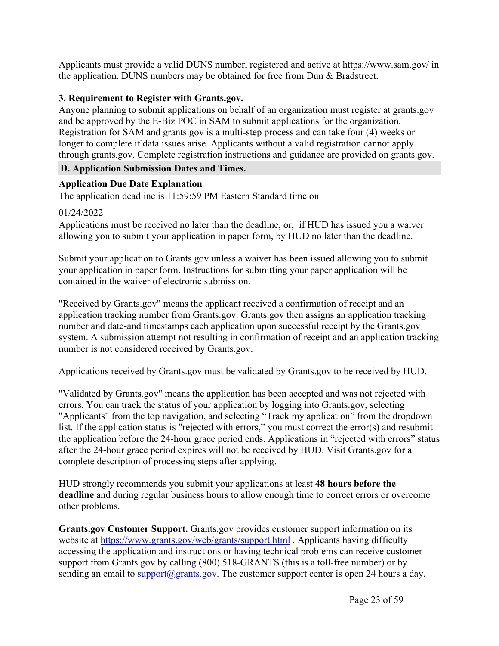Applicants must provide a valid DUNS number, registered and active at https://www.sam.gov/ in the application. DUNS numbers may be obtained for free from Dun & Bradstreet.

#### **3. Requirement to Register with Grants.gov.**

Anyone planning to submit applications on behalf of an organization must register at grants.gov and be approved by the E-Biz POC in SAM to submit applications for the organization. Registration for SAM and grants.gov is a multi-step process and can take four (4) weeks or longer to complete if data issues arise. Applicants without a valid registration cannot apply through grants.gov. Complete registration instructions and guidance are provided on grants.gov.

### <span id="page-23-0"></span>**D. Application Submission Dates and Times.**

#### **Application Due Date Explanation**

The application deadline is 11:59:59 PM Eastern Standard time on

#### 01/24/2022

Applications must be received no later than the deadline, or, if HUD has issued you a waiver allowing you to submit your application in paper form, by HUD no later than the deadline.

Submit your application to Grants.gov unless a waiver has been issued allowing you to submit your application in paper form. Instructions for submitting your paper application will be contained in the waiver of electronic submission.

"Received by Grants.gov" means the applicant received a confirmation of receipt and an application tracking number from Grants.gov. Grants.gov then assigns an application tracking number and date-and timestamps each application upon successful receipt by the Grants.gov system. A submission attempt not resulting in confirmation of receipt and an application tracking number is not considered received by Grants.gov.

Applications received by Grants.gov must be validated by Grants.gov to be received by HUD.

"Validated by Grants.gov" means the application has been accepted and was not rejected with errors. You can track the status of your application by logging into Grants.gov, selecting "Applicants" from the top navigation, and selecting "Track my application" from the dropdown list. If the application status is "rejected with errors," you must correct the error(s) and resubmit the application before the 24-hour grace period ends. Applications in "rejected with errors" status after the 24-hour grace period expires will not be received by HUD. Visit Grants.gov for a complete description of processing steps after applying.

HUD strongly recommends you submit your applications at least **48 hours before the deadline** and during regular business hours to allow enough time to correct errors or overcome other problems.

**Grants.gov Customer Support.** Grants.gov provides customer support information on its website at <https://www.grants.gov/web/grants/support.html> . Applicants having difficulty accessing the application and instructions or having technical problems can receive customer support from Grants.gov by calling (800) 518-GRANTS (this is a toll-free number) or by sending an email to support $(a)$ grants.gov. The customer support center is open 24 hours a day,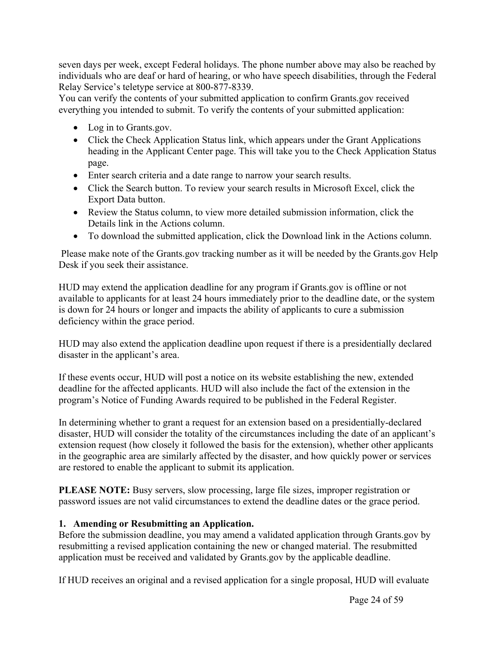seven days per week, except Federal holidays. The phone number above may also be reached by individuals who are deaf or hard of hearing, or who have speech disabilities, through the Federal Relay Service's teletype service at 800-877-8339.

You can verify the contents of your submitted application to confirm Grants.gov received everything you intended to submit. To verify the contents of your submitted application:

- Log in to Grants.gov.
- Click the Check Application Status link, which appears under the Grant Applications heading in the Applicant Center page. This will take you to the Check Application Status page.
- Enter search criteria and a date range to narrow your search results.
- Click the Search button. To review your search results in Microsoft Excel, click the Export Data button.
- Review the Status column, to view more detailed submission information, click the Details link in the Actions column.
- To download the submitted application, click the Download link in the Actions column.

Please make note of the Grants.gov tracking number as it will be needed by the Grants.gov Help Desk if you seek their assistance.

HUD may extend the application deadline for any program if Grants.gov is offline or not available to applicants for at least 24 hours immediately prior to the deadline date, or the system is down for 24 hours or longer and impacts the ability of applicants to cure a submission deficiency within the grace period.

HUD may also extend the application deadline upon request if there is a presidentially declared disaster in the applicant's area.

If these events occur, HUD will post a notice on its website establishing the new, extended deadline for the affected applicants. HUD will also include the fact of the extension in the program's Notice of Funding Awards required to be published in the Federal Register.

In determining whether to grant a request for an extension based on a presidentially-declared disaster, HUD will consider the totality of the circumstances including the date of an applicant's extension request (how closely it followed the basis for the extension), whether other applicants in the geographic area are similarly affected by the disaster, and how quickly power or services are restored to enable the applicant to submit its application.

**PLEASE NOTE:** Busy servers, slow processing, large file sizes, improper registration or password issues are not valid circumstances to extend the deadline dates or the grace period.

# **1. Amending or Resubmitting an Application.**

Before the submission deadline, you may amend a validated application through Grants.gov by resubmitting a revised application containing the new or changed material. The resubmitted application must be received and validated by Grants.gov by the applicable deadline.

If HUD receives an original and a revised application for a single proposal, HUD will evaluate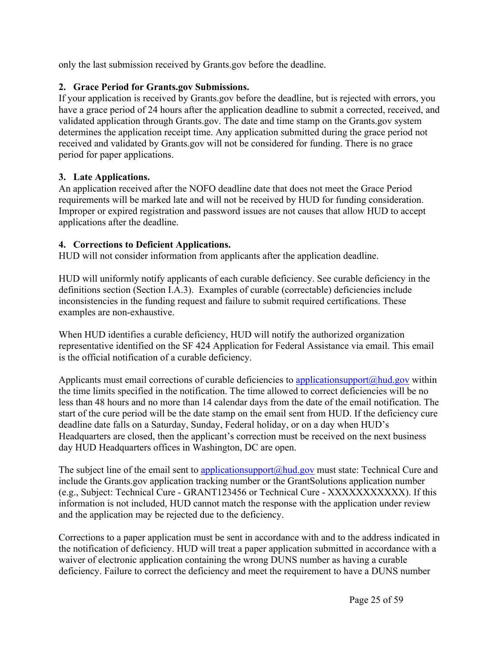only the last submission received by Grants.gov before the deadline.

# **2. Grace Period for Grants.gov Submissions.**

If your application is received by Grants.gov before the deadline, but is rejected with errors, you have a grace period of 24 hours after the application deadline to submit a corrected, received, and validated application through Grants.gov. The date and time stamp on the Grants.gov system determines the application receipt time. Any application submitted during the grace period not received and validated by Grants.gov will not be considered for funding. There is no grace period for paper applications.

### **3. Late Applications.**

An application received after the NOFO deadline date that does not meet the Grace Period requirements will be marked late and will not be received by HUD for funding consideration. Improper or expired registration and password issues are not causes that allow HUD to accept applications after the deadline.

### **4. Corrections to Deficient Applications.**

HUD will not consider information from applicants after the application deadline.

HUD will uniformly notify applicants of each curable deficiency. See curable deficiency in the definitions section (Section I.A.3). Examples of curable (correctable) deficiencies include inconsistencies in the funding request and failure to submit required certifications. These examples are non-exhaustive.

When HUD identifies a curable deficiency, HUD will notify the authorized organization representative identified on the SF 424 Application for Federal Assistance via email. This email is the official notification of a curable deficiency.

Applicants must email corrections of curable deficiencies to applicationsupport $\omega$ hud.gov within the time limits specified in the notification. The time allowed to correct deficiencies will be no less than 48 hours and no more than 14 calendar days from the date of the email notification. The start of the cure period will be the date stamp on the email sent from HUD. If the deficiency cure deadline date falls on a Saturday, Sunday, Federal holiday, or on a day when HUD's Headquarters are closed, then the applicant's correction must be received on the next business day HUD Headquarters offices in Washington, DC are open.

The subject line of the email sent to [applicationsupport@hud.gov](mailto:applicationsupport@hud.gov) must state: Technical Cure and include the Grants.gov application tracking number or the GrantSolutions application number (e.g., Subject: Technical Cure - GRANT123456 or Technical Cure - XXXXXXXXXXX). If this information is not included, HUD cannot match the response with the application under review and the application may be rejected due to the deficiency.

Corrections to a paper application must be sent in accordance with and to the address indicated in the notification of deficiency. HUD will treat a paper application submitted in accordance with a waiver of electronic application containing the wrong DUNS number as having a curable deficiency. Failure to correct the deficiency and meet the requirement to have a DUNS number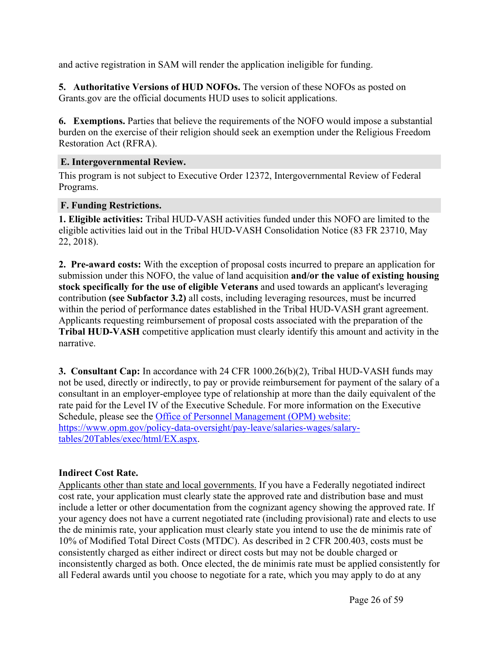and active registration in SAM will render the application ineligible for funding.

**5. Authoritative Versions of HUD NOFOs.** The version of these NOFOs as posted on Grants.gov are the official documents HUD uses to solicit applications.

**6. Exemptions.** Parties that believe the requirements of the NOFO would impose a substantial burden on the exercise of their religion should seek an exemption under the Religious Freedom Restoration Act (RFRA).

### <span id="page-26-0"></span>**E. Intergovernmental Review.**

This program is not subject to Executive Order 12372, Intergovernmental Review of Federal Programs.

### <span id="page-26-1"></span>**F. Funding Restrictions.**

**1. Eligible activities:** Tribal HUD-VASH activities funded under this NOFO are limited to the eligible activities laid out in the Tribal HUD-VASH Consolidation Notice (83 FR 23710, May 22, 2018).

**2. Pre-award costs:** With the exception of proposal costs incurred to prepare an application for submission under this NOFO, the value of land acquisition **and/or the value of existing housing stock specifically for the use of eligible Veterans** and used towards an applicant's leveraging contribution **(see Subfactor 3.2)** all costs, including leveraging resources, must be incurred within the period of performance dates established in the Tribal HUD-VASH grant agreement. Applicants requesting reimbursement of proposal costs associated with the preparation of the **Tribal HUD-VASH** competitive application must clearly identify this amount and activity in the narrative.

**3. Consultant Cap:** In accordance with 24 CFR 1000.26(b)(2), Tribal HUD-VASH funds may not be used, directly or indirectly, to pay or provide reimbursement for payment of the salary of a consultant in an employer-employee type of relationship at more than the daily equivalent of the rate paid for the Level IV of the Executive Schedule. For more information on the Executive Schedule, please see the Office of Personnel [Management](https://www.opm.gov/policy-data-oversight/pay-leave/salaries-wages/salary-tables/20Tables/exec/html/EX.aspx) (OPM) website: [https://www.opm.gov/policy-data-oversight/pay-leave/salaries-wages/salary](https://www.opm.gov/policy-data-oversight/pay-leave/salaries-wages/salary-tables/20Tables/exec/html/EX.aspx)[tables/20Tables/exec/html/EX.aspx](https://www.opm.gov/policy-data-oversight/pay-leave/salaries-wages/salary-tables/20Tables/exec/html/EX.aspx).

# **Indirect Cost Rate.**

Applicants other than state and local governments. If you have a Federally negotiated indirect cost rate, your application must clearly state the approved rate and distribution base and must include a letter or other documentation from the cognizant agency showing the approved rate. If your agency does not have a current negotiated rate (including provisional) rate and elects to use the de minimis rate, your application must clearly state you intend to use the de minimis rate of 10% of Modified Total Direct Costs (MTDC). As described in 2 CFR 200.403, costs must be consistently charged as either indirect or direct costs but may not be double charged or inconsistently charged as both. Once elected, the de minimis rate must be applied consistently for all Federal awards until you choose to negotiate for a rate, which you may apply to do at any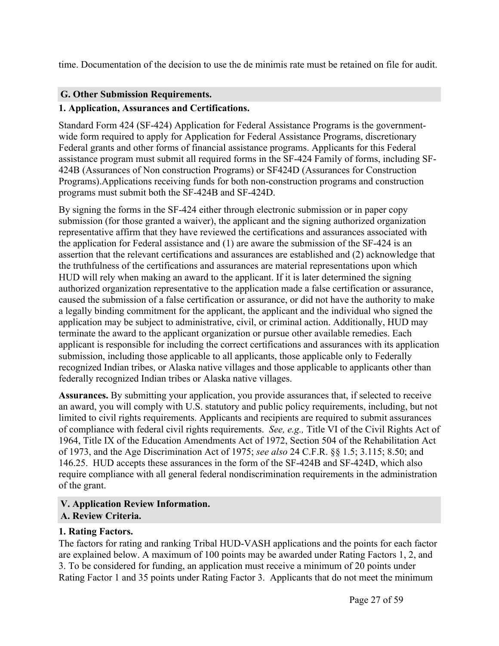time. Documentation of the decision to use the de minimis rate must be retained on file for audit.

# <span id="page-27-0"></span>**G. Other Submission Requirements.**

# **1. Application, Assurances and Certifications.**

Standard Form 424 (SF-424) Application for Federal Assistance Programs is the governmentwide form required to apply for Application for Federal Assistance Programs, discretionary Federal grants and other forms of financial assistance programs. Applicants for this Federal assistance program must submit all required forms in the SF-424 Family of forms, including SF-424B (Assurances of Non construction Programs) or SF424D (Assurances for Construction Programs).Applications receiving funds for both non-construction programs and construction programs must submit both the SF-424B and SF-424D.

By signing the forms in the SF-424 either through electronic submission or in paper copy submission (for those granted a waiver), the applicant and the signing authorized organization representative affirm that they have reviewed the certifications and assurances associated with the application for Federal assistance and (1) are aware the submission of the SF-424 is an assertion that the relevant certifications and assurances are established and (2) acknowledge that the truthfulness of the certifications and assurances are material representations upon which HUD will rely when making an award to the applicant. If it is later determined the signing authorized organization representative to the application made a false certification or assurance, caused the submission of a false certification or assurance, or did not have the authority to make a legally binding commitment for the applicant, the applicant and the individual who signed the application may be subject to administrative, civil, or criminal action. Additionally, HUD may terminate the award to the applicant organization or pursue other available remedies. Each applicant is responsible for including the correct certifications and assurances with its application submission, including those applicable to all applicants, those applicable only to Federally recognized Indian tribes, or Alaska native villages and those applicable to applicants other than federally recognized Indian tribes or Alaska native villages.

**Assurances.** By submitting your application, you provide assurances that, if selected to receive an award, you will comply with U.S. statutory and public policy requirements, including, but not limited to civil rights requirements. Applicants and recipients are required to submit assurances of compliance with federal civil rights requirements. *See, e.g.,* Title VI of the Civil Rights Act of 1964, Title IX of the Education Amendments Act of 1972, Section 504 of the Rehabilitation Act of 1973, and the Age Discrimination Act of 1975; *see also* 24 C.F.R. §§ 1.5; 3.115; 8.50; and 146.25. HUD accepts these assurances in the form of the SF-424B and SF-424D, which also require compliance with all general federal nondiscrimination requirements in the administration of the grant.

### <span id="page-27-2"></span><span id="page-27-1"></span>**V. Application Review Information. A. Review Criteria.**

#### **1. Rating Factors.**

The factors for rating and ranking Tribal HUD-VASH applications and the points for each factor are explained below. A maximum of 100 points may be awarded under Rating Factors 1, 2, and 3. To be considered for funding, an application must receive a minimum of 20 points under Rating Factor 1 and 35 points under Rating Factor 3. Applicants that do not meet the minimum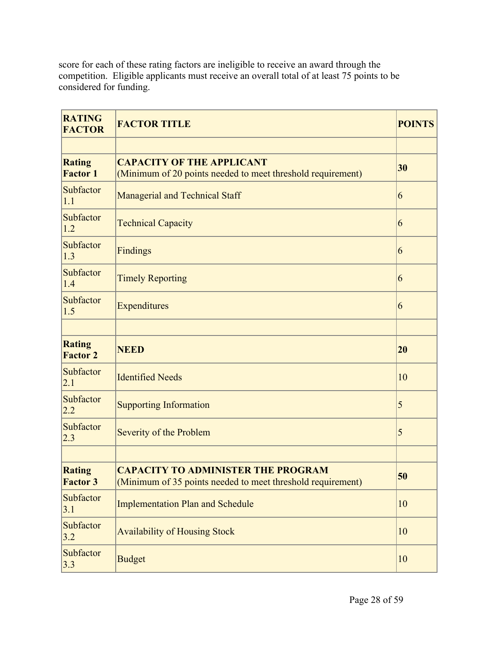score for each of these rating factors are ineligible to receive an award through the competition. Eligible applicants must receive an overall total of at least 75 points to be considered for funding.

| <b>RATING</b><br><b>FACTOR</b>   | <b>FACTOR TITLE</b>                                                                                      | <b>POINTS</b> |
|----------------------------------|----------------------------------------------------------------------------------------------------------|---------------|
|                                  |                                                                                                          |               |
| <b>Rating</b><br><b>Factor 1</b> | <b>CAPACITY OF THE APPLICANT</b><br>(Minimum of 20 points needed to meet threshold requirement)          | 30            |
| Subfactor<br>1.1                 | <b>Managerial and Technical Staff</b>                                                                    | 6             |
| Subfactor<br>1.2                 | <b>Technical Capacity</b>                                                                                | 6             |
| Subfactor<br>1.3                 | <b>Findings</b>                                                                                          | 6             |
| Subfactor<br>1.4                 | <b>Timely Reporting</b>                                                                                  | 6             |
| Subfactor<br>1.5                 | Expenditures                                                                                             | 6             |
|                                  |                                                                                                          |               |
| <b>Rating</b><br><b>Factor 2</b> | <b>NEED</b>                                                                                              | 20            |
| Subfactor<br>2.1                 | <b>Identified Needs</b>                                                                                  | 10            |
| Subfactor<br>2.2                 | <b>Supporting Information</b>                                                                            | 5             |
| Subfactor<br>2.3                 | Severity of the Problem                                                                                  | 5             |
|                                  |                                                                                                          |               |
| <b>Rating</b><br><b>Factor 3</b> | <b>CAPACITY TO ADMINISTER THE PROGRAM</b><br>(Minimum of 35 points needed to meet threshold requirement) | 50            |
| Subfactor<br>3.1                 | <b>Implementation Plan and Schedule</b>                                                                  | 10            |
| Subfactor<br>3.2                 | <b>Availability of Housing Stock</b>                                                                     | 10            |
| Subfactor<br>3.3                 | <b>Budget</b>                                                                                            | 10            |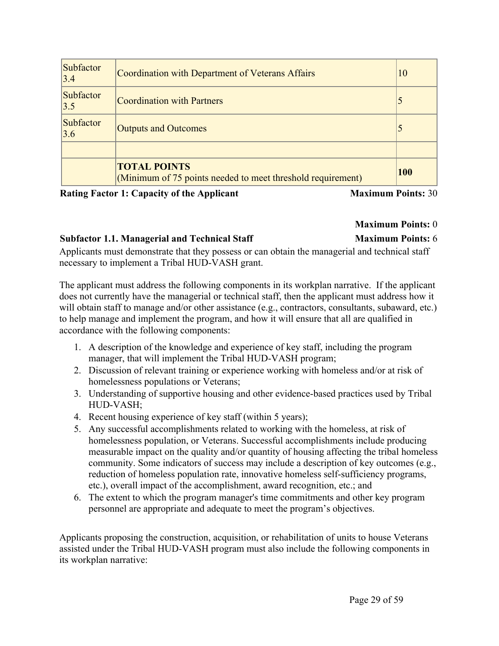| <b>Subfactor</b><br>3.4 | Coordination with Department of Veterans Affairs                                   | 10         |
|-------------------------|------------------------------------------------------------------------------------|------------|
| <b>Subfactor</b><br>3.5 | <b>Coordination with Partners</b>                                                  |            |
| <b>Subfactor</b><br>3.6 | <b>Outputs and Outcomes</b>                                                        |            |
|                         |                                                                                    |            |
|                         | <b>TOTAL POINTS</b><br>(Minimum of 75 points needed to meet threshold requirement) | <b>100</b> |

**Rating Factor 1: Capacity of the Applicant Maximum Points:** 30

# **Maximum Points:** 0

# **Subfactor 1.1. Managerial and Technical Staff Maximum Points:** 6

Applicants must demonstrate that they possess or can obtain the managerial and technical staff

necessary to implement a Tribal HUD-VASH grant.

The applicant must address the following components in its workplan narrative. If the applicant does not currently have the managerial or technical staff, then the applicant must address how it will obtain staff to manage and/or other assistance (e.g., contractors, consultants, subaward, etc.) to help manage and implement the program, and how it will ensure that all are qualified in accordance with the following components:

- 1. A description of the knowledge and experience of key staff, including the program manager, that will implement the Tribal HUD-VASH program;
- 2. Discussion of relevant training or experience working with homeless and/or at risk of homelessness populations or Veterans;
- 3. Understanding of supportive housing and other evidence-based practices used by Tribal HUD-VASH;
- 4. Recent housing experience of key staff (within 5 years);
- 5. Any successful accomplishments related to working with the homeless, at risk of homelessness population, or Veterans. Successful accomplishments include producing measurable impact on the quality and/or quantity of housing affecting the tribal homeless community. Some indicators of success may include a description of key outcomes (e.g., reduction of homeless population rate, innovative homeless self-sufficiency programs, etc.), overall impact of the accomplishment, award recognition, etc.; and
- 6. The extent to which the program manager's time commitments and other key program personnel are appropriate and adequate to meet the program's objectives.

Applicants proposing the construction, acquisition, or rehabilitation of units to house Veterans assisted under the Tribal HUD-VASH program must also include the following components in its workplan narrative: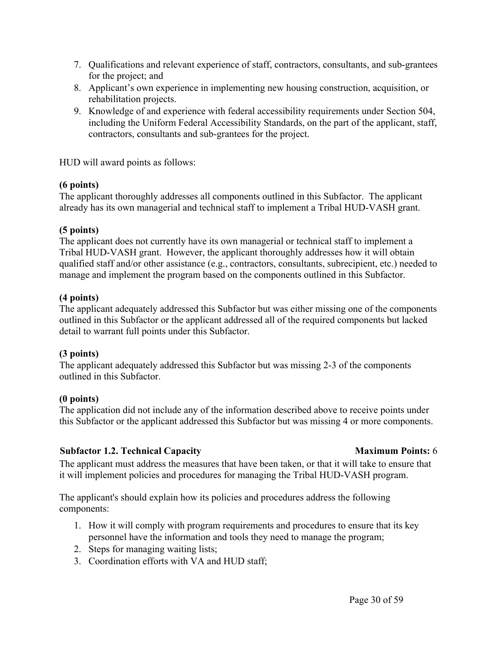- 7. Qualifications and relevant experience of staff, contractors, consultants, and sub-grantees for the project; and
- 8. Applicant's own experience in implementing new housing construction, acquisition, or rehabilitation projects.
- 9. Knowledge of and experience with federal accessibility requirements under Section 504, including the Uniform Federal Accessibility Standards, on the part of the applicant, staff, contractors, consultants and sub-grantees for the project.

HUD will award points as follows:

#### **(6 points)**

The applicant thoroughly addresses all components outlined in this Subfactor. The applicant already has its own managerial and technical staff to implement a Tribal HUD-VASH grant.

#### **(5 points)**

The applicant does not currently have its own managerial or technical staff to implement a Tribal HUD-VASH grant. However, the applicant thoroughly addresses how it will obtain qualified staff and/or other assistance (e.g., contractors, consultants, subrecipient, etc.) needed to manage and implement the program based on the components outlined in this Subfactor.

#### **(4 points)**

The applicant adequately addressed this Subfactor but was either missing one of the components outlined in this Subfactor or the applicant addressed all of the required components but lacked detail to warrant full points under this Subfactor.

#### **(3 points)**

The applicant adequately addressed this Subfactor but was missing 2-3 of the components outlined in this Subfactor.

#### **(0 points)**

The application did not include any of the information described above to receive points under this Subfactor or the applicant addressed this Subfactor but was missing 4 or more components.

#### **Subfactor 1.2. Technical Capacity Maximum Points:** 6

The applicant must address the measures that have been taken, or that it will take to ensure that it will implement policies and procedures for managing the Tribal HUD-VASH program.

The applicant's should explain how its policies and procedures address the following components:

- 1. How it will comply with program requirements and procedures to ensure that its key personnel have the information and tools they need to manage the program;
- 2. Steps for managing waiting lists;
- 3. Coordination efforts with VA and HUD staff;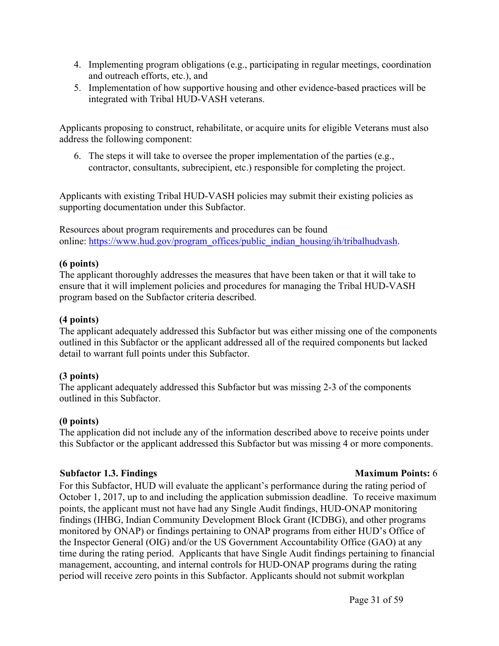- 4. Implementing program obligations (e.g., participating in regular meetings, coordination and outreach efforts, etc.), and
- 5. Implementation of how supportive housing and other evidence-based practices will be integrated with Tribal HUD-VASH veterans.

Applicants proposing to construct, rehabilitate, or acquire units for eligible Veterans must also address the following component:

6. The steps it will take to oversee the proper implementation of the parties (e.g., contractor, consultants, subrecipient, etc.) responsible for completing the project.

Applicants with existing Tribal HUD-VASH policies may submit their existing policies as supporting documentation under this Subfactor.

Resources about program requirements and procedures can be found online: [https://www.hud.gov/program\\_offices/public\\_indian\\_housing/ih/tribalhudvash.](https://www.hud.gov/program_offices/public_indian_housing/ih/tribalhudvash)

#### **(6 points)**

The applicant thoroughly addresses the measures that have been taken or that it will take to ensure that it will implement policies and procedures for managing the Tribal HUD-VASH program based on the Subfactor criteria described.

#### **(4 points)**

The applicant adequately addressed this Subfactor but was either missing one of the components outlined in this Subfactor or the applicant addressed all of the required components but lacked detail to warrant full points under this Subfactor.

#### **(3 points)**

The applicant adequately addressed this Subfactor but was missing 2-3 of the components outlined in this Subfactor.

#### **(0 points)**

The application did not include any of the information described above to receive points under this Subfactor or the applicant addressed this Subfactor but was missing 4 or more components.

#### **Subfactor 1.3. Findings Maximum Points:** 6

For this Subfactor, HUD will evaluate the applicant's performance during the rating period of October 1, 2017, up to and including the application submission deadline. To receive maximum points, the applicant must not have had any Single Audit findings, HUD-ONAP monitoring findings (IHBG, Indian Community Development Block Grant (ICDBG), and other programs monitored by ONAP) or findings pertaining to ONAP programs from either HUD's Office of the Inspector General (OIG) and/or the US Government Accountability Office (GAO) at any time during the rating period. Applicants that have Single Audit findings pertaining to financial management, accounting, and internal controls for HUD-ONAP programs during the rating period will receive zero points in this Subfactor. Applicants should not submit workplan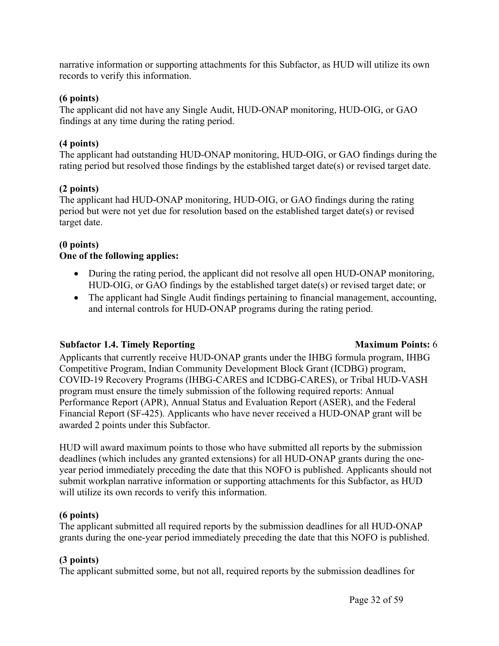narrative information or supporting attachments for this Subfactor, as HUD will utilize its own records to verify this information.

#### **(6 points)**

The applicant did not have any Single Audit, HUD-ONAP monitoring, HUD-OIG, or GAO findings at any time during the rating period.

#### **(4 points)**

The applicant had outstanding HUD-ONAP monitoring, HUD-OIG, or GAO findings during the rating period but resolved those findings by the established target date(s) or revised target date.

### **(2 points)**

The applicant had HUD-ONAP monitoring, HUD-OIG, or GAO findings during the rating period but were not yet due for resolution based on the established target date(s) or revised target date.

# **(0 points)**

#### **One of the following applies:**

- During the rating period, the applicant did not resolve all open HUD-ONAP monitoring, HUD-OIG, or GAO findings by the established target date(s) or revised target date; or
- The applicant had Single Audit findings pertaining to financial management, accounting, and internal controls for HUD-ONAP programs during the rating period.

# **Subfactor 1.4. Timely Reporting Maximum Points:** 6

Applicants that currently receive HUD-ONAP grants under the IHBG formula program, IHBG Competitive Program, Indian Community Development Block Grant (ICDBG) program, COVID-19 Recovery Programs (IHBG-CARES and ICDBG-CARES), or Tribal HUD-VASH program must ensure the timely submission of the following required reports: Annual Performance Report (APR), Annual Status and Evaluation Report (ASER), and the Federal Financial Report (SF-425). Applicants who have never received a HUD-ONAP grant will be awarded 2 points under this Subfactor.

HUD will award maximum points to those who have submitted all reports by the submission deadlines (which includes any granted extensions) for all HUD-ONAP grants during the oneyear period immediately preceding the date that this NOFO is published. Applicants should not submit workplan narrative information or supporting attachments for this Subfactor, as HUD will utilize its own records to verify this information.

#### **(6 points)**

The applicant submitted all required reports by the submission deadlines for all HUD-ONAP grants during the one-year period immediately preceding the date that this NOFO is published.

# **(3 points)**

The applicant submitted some, but not all, required reports by the submission deadlines for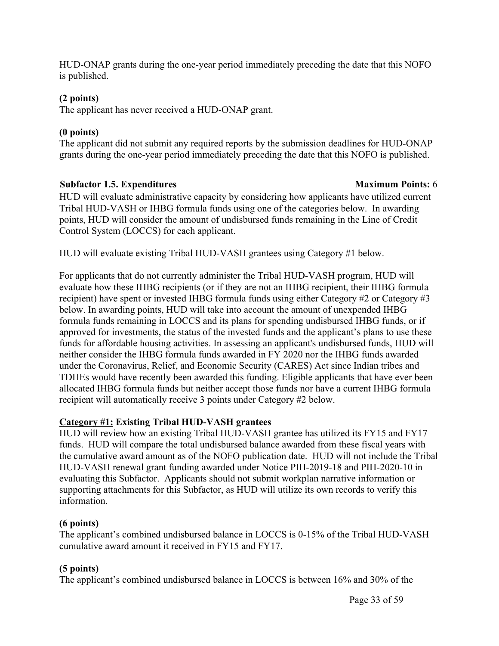HUD-ONAP grants during the one-year period immediately preceding the date that this NOFO is published.

### **(2 points)**

The applicant has never received a HUD-ONAP grant.

# **(0 points)**

The applicant did not submit any required reports by the submission deadlines for HUD-ONAP grants during the one-year period immediately preceding the date that this NOFO is published.

# **Subfactor 1.5. Expenditures Maximum Points:** 6

HUD will evaluate administrative capacity by considering how applicants have utilized current Tribal HUD-VASH or IHBG formula funds using one of the categories below. In awarding points, HUD will consider the amount of undisbursed funds remaining in the Line of Credit Control System (LOCCS) for each applicant.

HUD will evaluate existing Tribal HUD-VASH grantees using Category #1 below.

For applicants that do not currently administer the Tribal HUD-VASH program, HUD will evaluate how these IHBG recipients (or if they are not an IHBG recipient, their IHBG formula recipient) have spent or invested IHBG formula funds using either Category #2 or Category #3 below. In awarding points, HUD will take into account the amount of unexpended IHBG formula funds remaining in LOCCS and its plans for spending undisbursed IHBG funds, or if approved for investments, the status of the invested funds and the applicant's plans to use these funds for affordable housing activities. In assessing an applicant's undisbursed funds, HUD will neither consider the IHBG formula funds awarded in FY 2020 nor the IHBG funds awarded under the Coronavirus, Relief, and Economic Security (CARES) Act since Indian tribes and TDHEs would have recently been awarded this funding. Eligible applicants that have ever been allocated IHBG formula funds but neither accept those funds nor have a current IHBG formula recipient will automatically receive 3 points under Category #2 below.

# **Category #1: Existing Tribal HUD-VASH grantees**

HUD will review how an existing Tribal HUD-VASH grantee has utilized its FY15 and FY17 funds. HUD will compare the total undisbursed balance awarded from these fiscal years with the cumulative award amount as of the NOFO publication date. HUD will not include the Tribal HUD-VASH renewal grant funding awarded under Notice PIH-2019-18 and PIH-2020-10 in evaluating this Subfactor. Applicants should not submit workplan narrative information or supporting attachments for this Subfactor, as HUD will utilize its own records to verify this information.

# **(6 points)**

The applicant's combined undisbursed balance in LOCCS is 0-15% of the Tribal HUD-VASH cumulative award amount it received in FY15 and FY17.

# **(5 points)**

The applicant's combined undisbursed balance in LOCCS is between 16% and 30% of the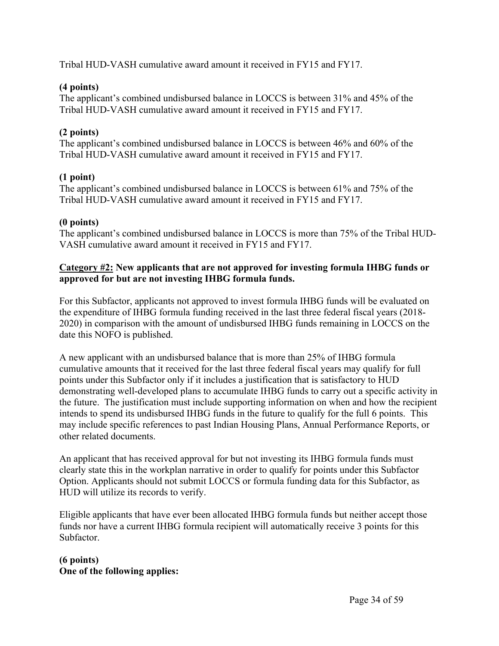Tribal HUD-VASH cumulative award amount it received in FY15 and FY17.

### **(4 points)**

The applicant's combined undisbursed balance in LOCCS is between 31% and 45% of the Tribal HUD-VASH cumulative award amount it received in FY15 and FY17.

# **(2 points)**

The applicant's combined undisbursed balance in LOCCS is between 46% and 60% of the Tribal HUD-VASH cumulative award amount it received in FY15 and FY17.

# **(1 point)**

The applicant's combined undisbursed balance in LOCCS is between 61% and 75% of the Tribal HUD-VASH cumulative award amount it received in FY15 and FY17.

### **(0 points)**

The applicant's combined undisbursed balance in LOCCS is more than 75% of the Tribal HUD-VASH cumulative award amount it received in FY15 and FY17.

#### **Category #2: New applicants that are not approved for investing formula IHBG funds or approved for but are not investing IHBG formula funds.**

For this Subfactor, applicants not approved to invest formula IHBG funds will be evaluated on the expenditure of IHBG formula funding received in the last three federal fiscal years (2018- 2020) in comparison with the amount of undisbursed IHBG funds remaining in LOCCS on the date this NOFO is published.

A new applicant with an undisbursed balance that is more than 25% of IHBG formula cumulative amounts that it received for the last three federal fiscal years may qualify for full points under this Subfactor only if it includes a justification that is satisfactory to HUD demonstrating well-developed plans to accumulate IHBG funds to carry out a specific activity in the future. The justification must include supporting information on when and how the recipient intends to spend its undisbursed IHBG funds in the future to qualify for the full 6 points. This may include specific references to past Indian Housing Plans, Annual Performance Reports, or other related documents.

An applicant that has received approval for but not investing its IHBG formula funds must clearly state this in the workplan narrative in order to qualify for points under this Subfactor Option. Applicants should not submit LOCCS or formula funding data for this Subfactor, as HUD will utilize its records to verify.

Eligible applicants that have ever been allocated IHBG formula funds but neither accept those funds nor have a current IHBG formula recipient will automatically receive 3 points for this Subfactor.

**(6 points) One of the following applies:**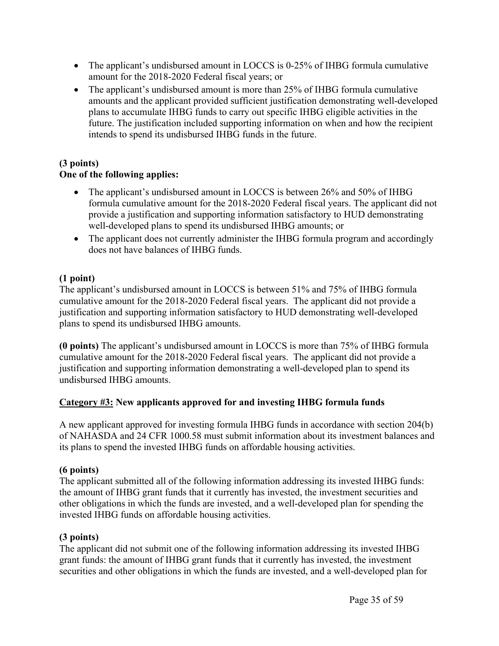- The applicant's undisbursed amount in LOCCS is 0-25% of IHBG formula cumulative amount for the 2018-2020 Federal fiscal years; or
- The applicant's undisbursed amount is more than 25% of IHBG formula cumulative amounts and the applicant provided sufficient justification demonstrating well-developed plans to accumulate IHBG funds to carry out specific IHBG eligible activities in the future. The justification included supporting information on when and how the recipient intends to spend its undisbursed IHBG funds in the future.

# **(3 points)**

# **One of the following applies:**

- The applicant's undisbursed amount in LOCCS is between 26% and 50% of IHBG formula cumulative amount for the 2018-2020 Federal fiscal years. The applicant did not provide a justification and supporting information satisfactory to HUD demonstrating well-developed plans to spend its undisbursed IHBG amounts; or
- The applicant does not currently administer the IHBG formula program and accordingly does not have balances of IHBG funds.

# **(1 point)**

The applicant's undisbursed amount in LOCCS is between 51% and 75% of IHBG formula cumulative amount for the 2018-2020 Federal fiscal years. The applicant did not provide a justification and supporting information satisfactory to HUD demonstrating well-developed plans to spend its undisbursed IHBG amounts.

**(0 points)** The applicant's undisbursed amount in LOCCS is more than 75% of IHBG formula cumulative amount for the 2018-2020 Federal fiscal years. The applicant did not provide a justification and supporting information demonstrating a well-developed plan to spend its undisbursed IHBG amounts.

# **Category #3: New applicants approved for and investing IHBG formula funds**

A new applicant approved for investing formula IHBG funds in accordance with section 204(b) of NAHASDA and 24 CFR 1000.58 must submit information about its investment balances and its plans to spend the invested IHBG funds on affordable housing activities.

# **(6 points)**

The applicant submitted all of the following information addressing its invested IHBG funds: the amount of IHBG grant funds that it currently has invested, the investment securities and other obligations in which the funds are invested, and a well-developed plan for spending the invested IHBG funds on affordable housing activities.

# **(3 points)**

The applicant did not submit one of the following information addressing its invested IHBG grant funds: the amount of IHBG grant funds that it currently has invested, the investment securities and other obligations in which the funds are invested, and a well-developed plan for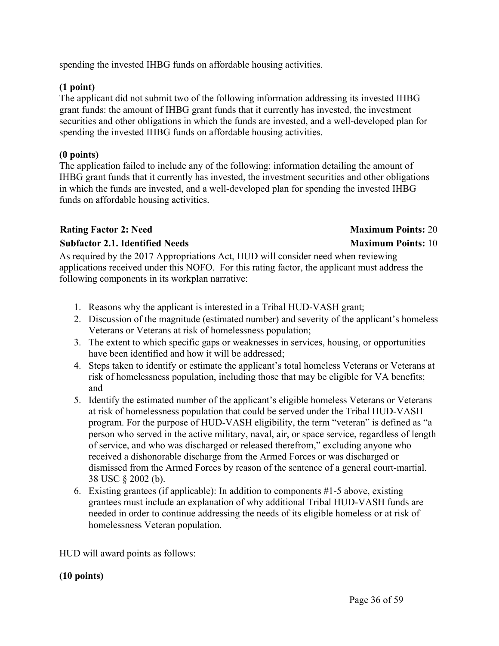spending the invested IHBG funds on affordable housing activities.

#### **(1 point)**

The applicant did not submit two of the following information addressing its invested IHBG grant funds: the amount of IHBG grant funds that it currently has invested, the investment securities and other obligations in which the funds are invested, and a well-developed plan for spending the invested IHBG funds on affordable housing activities.

#### **(0 points)**

The application failed to include any of the following: information detailing the amount of IHBG grant funds that it currently has invested, the investment securities and other obligations in which the funds are invested, and a well-developed plan for spending the invested IHBG funds on affordable housing activities.

#### **Rating Factor 2:** Need **Maximum** Points: 20

#### **Subfactor 2.1. Identified Needs Maximum Points:** 10

#### As required by the 2017 Appropriations Act, HUD will consider need when reviewing applications received under this NOFO. For this rating factor, the applicant must address the following components in its workplan narrative:

- 1. Reasons why the applicant is interested in a Tribal HUD-VASH grant;
- 2. Discussion of the magnitude (estimated number) and severity of the applicant's homeless Veterans or Veterans at risk of homelessness population;
- 3. The extent to which specific gaps or weaknesses in services, housing, or opportunities have been identified and how it will be addressed;
- 4. Steps taken to identify or estimate the applicant's total homeless Veterans or Veterans at risk of homelessness population, including those that may be eligible for VA benefits; and
- 5. Identify the estimated number of the applicant's eligible homeless Veterans or Veterans at risk of homelessness population that could be served under the Tribal HUD-VASH program. For the purpose of HUD-VASH eligibility, the term "veteran" is defined as "a person who served in the active military, naval, air, or space service, regardless of length of service, and who was discharged or released therefrom," excluding anyone who received a dishonorable discharge from the Armed Forces or was discharged or dismissed from the Armed Forces by reason of the sentence of a general court-martial. 38 USC § 2002 (b).
- 6. Existing grantees (if applicable): In addition to components #1-5 above, existing grantees must include an explanation of why additional Tribal HUD-VASH funds are needed in order to continue addressing the needs of its eligible homeless or at risk of homelessness Veteran population.

HUD will award points as follows:

#### **(10 points)**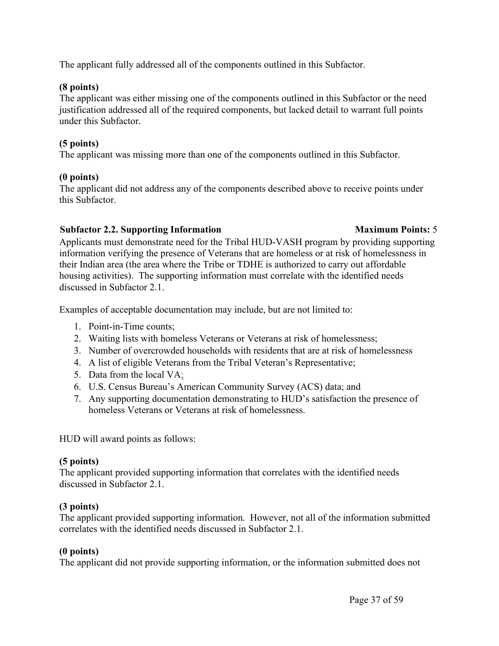The applicant fully addressed all of the components outlined in this Subfactor.

#### **(8 points)**

The applicant was either missing one of the components outlined in this Subfactor or the need justification addressed all of the required components, but lacked detail to warrant full points under this Subfactor.

# **(5 points)**

The applicant was missing more than one of the components outlined in this Subfactor.

### **(0 points)**

The applicant did not address any of the components described above to receive points under this Subfactor.

# **Subfactor 2.2. Supporting Information Maximum Points:** 5

Applicants must demonstrate need for the Tribal HUD-VASH program by providing supporting information verifying the presence of Veterans that are homeless or at risk of homelessness in their Indian area (the area where the Tribe or TDHE is authorized to carry out affordable housing activities). The supporting information must correlate with the identified needs discussed in Subfactor 2.1.

Examples of acceptable documentation may include, but are not limited to:

- 1. Point-in-Time counts;
- 2. Waiting lists with homeless Veterans or Veterans at risk of homelessness;
- 3. Number of overcrowded households with residents that are at risk of homelessness
- 4. A list of eligible Veterans from the Tribal Veteran's Representative;
- 5. Data from the local VA;
- 6. U.S. Census Bureau's American Community Survey (ACS) data; and
- 7. Any supporting documentation demonstrating to HUD's satisfaction the presence of homeless Veterans or Veterans at risk of homelessness.

HUD will award points as follows:

# **(5 points)**

The applicant provided supporting information that correlates with the identified needs discussed in Subfactor 2.1.

# **(3 points)**

The applicant provided supporting information. However, not all of the information submitted correlates with the identified needs discussed in Subfactor 2.1.

# **(0 points)**

The applicant did not provide supporting information, or the information submitted does not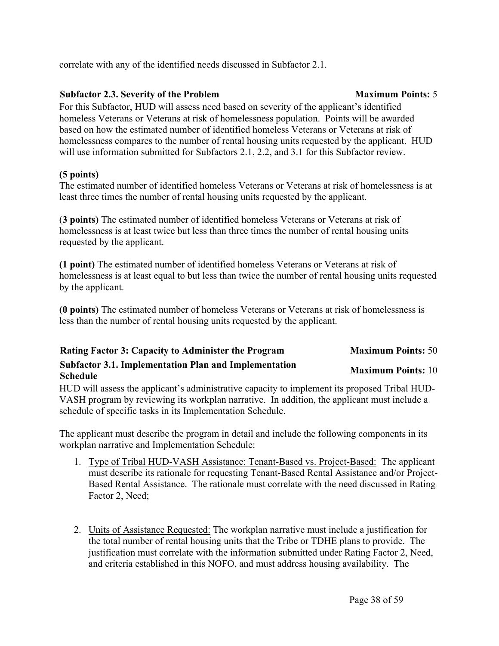correlate with any of the identified needs discussed in Subfactor 2.1.

# **Subfactor 2.3. Severity of the Problem Maximum Points:** 5

For this Subfactor, HUD will assess need based on severity of the applicant's identified homeless Veterans or Veterans at risk of homelessness population. Points will be awarded based on how the estimated number of identified homeless Veterans or Veterans at risk of homelessness compares to the number of rental housing units requested by the applicant. HUD will use information submitted for Subfactors 2.1, 2.2, and 3.1 for this Subfactor review.

# **(5 points)**

The estimated number of identified homeless Veterans or Veterans at risk of homelessness is at least three times the number of rental housing units requested by the applicant.

(**3 points)** The estimated number of identified homeless Veterans or Veterans at risk of homelessness is at least twice but less than three times the number of rental housing units requested by the applicant.

**(1 point)** The estimated number of identified homeless Veterans or Veterans at risk of homelessness is at least equal to but less than twice the number of rental housing units requested by the applicant.

**(0 points)** The estimated number of homeless Veterans or Veterans at risk of homelessness is less than the number of rental housing units requested by the applicant.

| <b>Rating Factor 3: Capacity to Administer the Program</b>                      | <b>Maximum Points: 50</b> |
|---------------------------------------------------------------------------------|---------------------------|
| <b>Subfactor 3.1. Implementation Plan and Implementation</b><br><b>Schedule</b> | <b>Maximum Points: 10</b> |

HUD will assess the applicant's administrative capacity to implement its proposed Tribal HUD-VASH program by reviewing its workplan narrative. In addition, the applicant must include a schedule of specific tasks in its Implementation Schedule.

The applicant must describe the program in detail and include the following components in its workplan narrative and Implementation Schedule:

- 1. Type of Tribal HUD-VASH Assistance: Tenant-Based vs. Project-Based: The applicant must describe its rationale for requesting Tenant-Based Rental Assistance and/or Project-Based Rental Assistance. The rationale must correlate with the need discussed in Rating Factor 2, Need;
- 2. Units of Assistance Requested: The workplan narrative must include a justification for the total number of rental housing units that the Tribe or TDHE plans to provide. The justification must correlate with the information submitted under Rating Factor 2, Need, and criteria established in this NOFO, and must address housing availability. The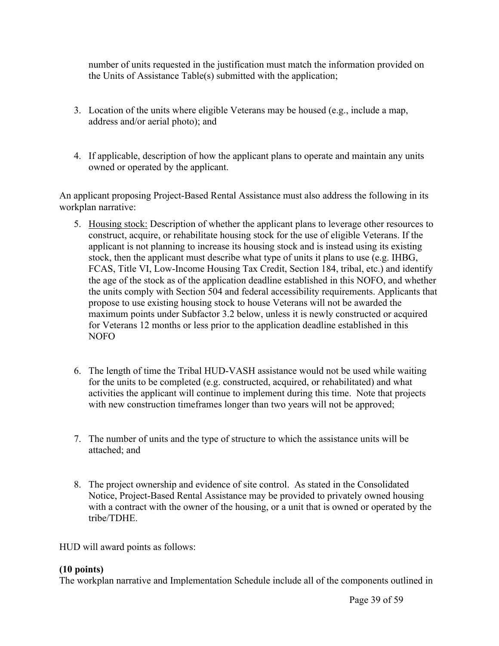number of units requested in the justification must match the information provided on the Units of Assistance Table(s) submitted with the application;

- 3. Location of the units where eligible Veterans may be housed (e.g., include a map, address and/or aerial photo); and
- 4. If applicable, description of how the applicant plans to operate and maintain any units owned or operated by the applicant.

An applicant proposing Project-Based Rental Assistance must also address the following in its workplan narrative:

- 5. Housing stock: Description of whether the applicant plans to leverage other resources to construct, acquire, or rehabilitate housing stock for the use of eligible Veterans. If the applicant is not planning to increase its housing stock and is instead using its existing stock, then the applicant must describe what type of units it plans to use (e.g. IHBG, FCAS, Title VI, Low-Income Housing Tax Credit, Section 184, tribal, etc.) and identify the age of the stock as of the application deadline established in this NOFO, and whether the units comply with Section 504 and federal accessibility requirements. Applicants that propose to use existing housing stock to house Veterans will not be awarded the maximum points under Subfactor 3.2 below, unless it is newly constructed or acquired for Veterans 12 months or less prior to the application deadline established in this NOFO
- 6. The length of time the Tribal HUD-VASH assistance would not be used while waiting for the units to be completed (e.g. constructed, acquired, or rehabilitated) and what activities the applicant will continue to implement during this time. Note that projects with new construction timeframes longer than two years will not be approved;
- 7. The number of units and the type of structure to which the assistance units will be attached; and
- 8. The project ownership and evidence of site control. As stated in the Consolidated Notice, Project-Based Rental Assistance may be provided to privately owned housing with a contract with the owner of the housing, or a unit that is owned or operated by the tribe/TDHE.

HUD will award points as follows:

#### **(10 points)**

The workplan narrative and Implementation Schedule include all of the components outlined in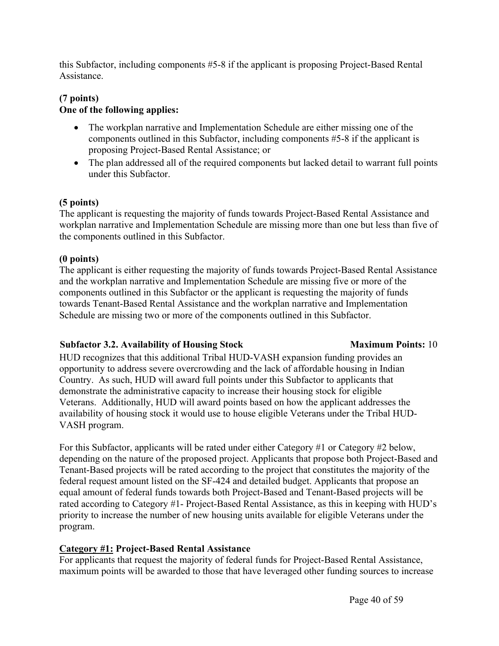this Subfactor, including components #5-8 if the applicant is proposing Project-Based Rental Assistance.

#### **(7 points) One of the following applies:**

- The workplan narrative and Implementation Schedule are either missing one of the components outlined in this Subfactor, including components #5-8 if the applicant is proposing Project-Based Rental Assistance; or
- The plan addressed all of the required components but lacked detail to warrant full points under this Subfactor.

### **(5 points)**

The applicant is requesting the majority of funds towards Project-Based Rental Assistance and workplan narrative and Implementation Schedule are missing more than one but less than five of the components outlined in this Subfactor.

#### **(0 points)**

The applicant is either requesting the majority of funds towards Project-Based Rental Assistance and the workplan narrative and Implementation Schedule are missing five or more of the components outlined in this Subfactor or the applicant is requesting the majority of funds towards Tenant-Based Rental Assistance and the workplan narrative and Implementation Schedule are missing two or more of the components outlined in this Subfactor.

#### **Subfactor 3.2.** Availability of Housing Stock Maximum Points: 10

HUD recognizes that this additional Tribal HUD-VASH expansion funding provides an opportunity to address severe overcrowding and the lack of affordable housing in Indian Country. As such, HUD will award full points under this Subfactor to applicants that demonstrate the administrative capacity to increase their housing stock for eligible Veterans. Additionally, HUD will award points based on how the applicant addresses the availability of housing stock it would use to house eligible Veterans under the Tribal HUD-VASH program.

For this Subfactor, applicants will be rated under either Category #1 or Category #2 below, depending on the nature of the proposed project. Applicants that propose both Project-Based and Tenant-Based projects will be rated according to the project that constitutes the majority of the federal request amount listed on the SF-424 and detailed budget. Applicants that propose an equal amount of federal funds towards both Project-Based and Tenant-Based projects will be rated according to Category #1- Project-Based Rental Assistance, as this in keeping with HUD's priority to increase the number of new housing units available for eligible Veterans under the program.

# **Category #1: Project-Based Rental Assistance**

For applicants that request the majority of federal funds for Project-Based Rental Assistance, maximum points will be awarded to those that have leveraged other funding sources to increase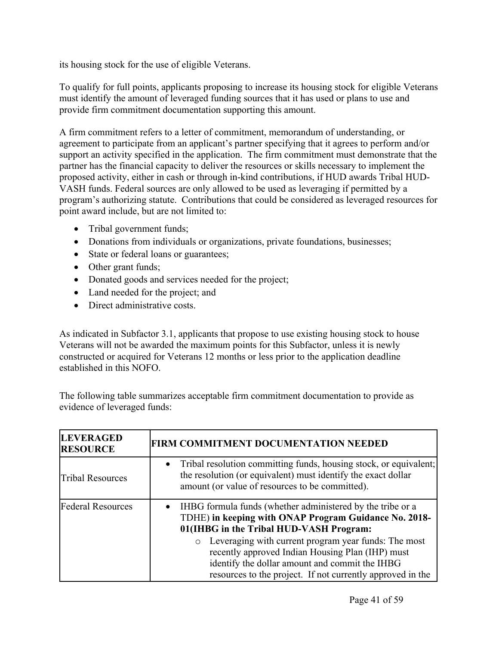its housing stock for the use of eligible Veterans.

To qualify for full points, applicants proposing to increase its housing stock for eligible Veterans must identify the amount of leveraged funding sources that it has used or plans to use and provide firm commitment documentation supporting this amount.

A firm commitment refers to a letter of commitment, memorandum of understanding, or agreement to participate from an applicant's partner specifying that it agrees to perform and/or support an activity specified in the application. The firm commitment must demonstrate that the partner has the financial capacity to deliver the resources or skills necessary to implement the proposed activity, either in cash or through in-kind contributions, if HUD awards Tribal HUD-VASH funds. Federal sources are only allowed to be used as leveraging if permitted by a program's authorizing statute. Contributions that could be considered as leveraged resources for point award include, but are not limited to:

- Tribal government funds;
- Donations from individuals or organizations, private foundations, businesses;
- State or federal loans or guarantees;
- Other grant funds;
- Donated goods and services needed for the project;
- Land needed for the project; and
- Direct administrative costs.

As indicated in Subfactor 3.1, applicants that propose to use existing housing stock to house Veterans will not be awarded the maximum points for this Subfactor, unless it is newly constructed or acquired for Veterans 12 months or less prior to the application deadline established in this NOFO.

The following table summarizes acceptable firm commitment documentation to provide as evidence of leveraged funds:

| <b>LEVERAGED</b><br><b>RESOURCE</b> | <b>FIRM COMMITMENT DOCUMENTATION NEEDED</b>                                                                                                                                                                                |
|-------------------------------------|----------------------------------------------------------------------------------------------------------------------------------------------------------------------------------------------------------------------------|
| <b>Tribal Resources</b>             | Tribal resolution committing funds, housing stock, or equivalent;<br>$\bullet$<br>the resolution (or equivalent) must identify the exact dollar<br>amount (or value of resources to be committed).                         |
| <b>Federal Resources</b>            | IHBG formula funds (whether administered by the tribe or a<br>$\bullet$<br>TDHE) in keeping with ONAP Program Guidance No. 2018-<br>01(IHBG in the Tribal HUD-VASH Program:                                                |
|                                     | o Leveraging with current program year funds: The most<br>recently approved Indian Housing Plan (IHP) must<br>identify the dollar amount and commit the IHBG<br>resources to the project. If not currently approved in the |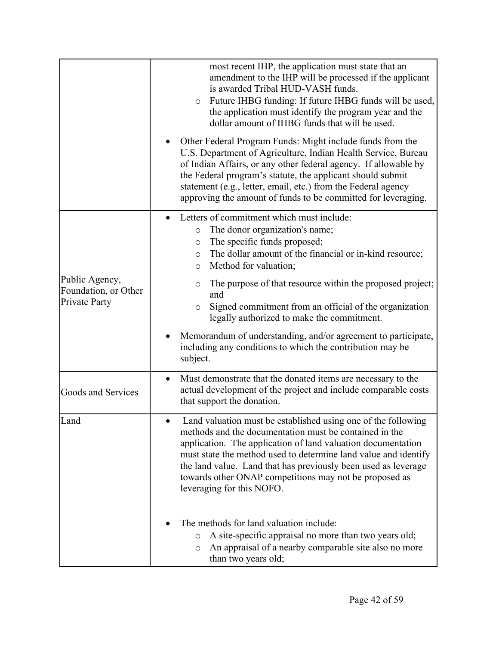|                                                         | most recent IHP, the application must state that an<br>amendment to the IHP will be processed if the applicant<br>is awarded Tribal HUD-VASH funds.<br>Future IHBG funding: If future IHBG funds will be used,<br>$\circ$<br>the application must identify the program year and the<br>dollar amount of IHBG funds that will be used.                                                                               |
|---------------------------------------------------------|---------------------------------------------------------------------------------------------------------------------------------------------------------------------------------------------------------------------------------------------------------------------------------------------------------------------------------------------------------------------------------------------------------------------|
|                                                         | Other Federal Program Funds: Might include funds from the<br>U.S. Department of Agriculture, Indian Health Service, Bureau<br>of Indian Affairs, or any other federal agency. If allowable by<br>the Federal program's statute, the applicant should submit<br>statement (e.g., letter, email, etc.) from the Federal agency<br>approving the amount of funds to be committed for leveraging.                       |
|                                                         | Letters of commitment which must include:<br>$\bullet$<br>The donor organization's name;<br>$\circ$<br>The specific funds proposed;<br>$\circ$<br>The dollar amount of the financial or in-kind resource;<br>$\circ$<br>Method for valuation;<br>$\circ$                                                                                                                                                            |
| Public Agency,<br>Foundation, or Other<br>Private Party | The purpose of that resource within the proposed project;<br>$\circ$<br>and<br>Signed commitment from an official of the organization<br>O<br>legally authorized to make the commitment.                                                                                                                                                                                                                            |
|                                                         | Memorandum of understanding, and/or agreement to participate,<br>including any conditions to which the contribution may be<br>subject.                                                                                                                                                                                                                                                                              |
| Goods and Services                                      | Must demonstrate that the donated items are necessary to the<br>$\bullet$<br>actual development of the project and include comparable costs<br>that support the donation.                                                                                                                                                                                                                                           |
| Land                                                    | Land valuation must be established using one of the following<br>methods and the documentation must be contained in the<br>application. The application of land valuation documentation<br>must state the method used to determine land value and identify<br>the land value. Land that has previously been used as leverage<br>towards other ONAP competitions may not be proposed as<br>leveraging for this NOFO. |
|                                                         | The methods for land valuation include:<br>A site-specific appraisal no more than two years old;<br>O<br>An appraisal of a nearby comparable site also no more<br>O<br>than two years old;                                                                                                                                                                                                                          |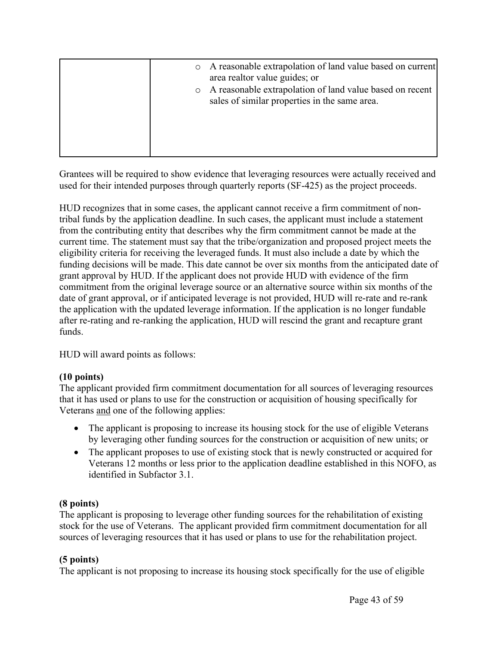| $\circ$ | A reasonable extrapolation of land value based on current<br>area realtor value guides; or<br>A reasonable extrapolation of land value based on recent<br>sales of similar properties in the same area. |
|---------|---------------------------------------------------------------------------------------------------------------------------------------------------------------------------------------------------------|
|         |                                                                                                                                                                                                         |

Grantees will be required to show evidence that leveraging resources were actually received and used for their intended purposes through quarterly reports (SF-425) as the project proceeds.

HUD recognizes that in some cases, the applicant cannot receive a firm commitment of nontribal funds by the application deadline. In such cases, the applicant must include a statement from the contributing entity that describes why the firm commitment cannot be made at the current time. The statement must say that the tribe/organization and proposed project meets the eligibility criteria for receiving the leveraged funds. It must also include a date by which the funding decisions will be made. This date cannot be over six months from the anticipated date of grant approval by HUD. If the applicant does not provide HUD with evidence of the firm commitment from the original leverage source or an alternative source within six months of the date of grant approval, or if anticipated leverage is not provided, HUD will re-rate and re-rank the application with the updated leverage information. If the application is no longer fundable after re-rating and re-ranking the application, HUD will rescind the grant and recapture grant funds.

HUD will award points as follows:

# **(10 points)**

The applicant provided firm commitment documentation for all sources of leveraging resources that it has used or plans to use for the construction or acquisition of housing specifically for Veterans and one of the following applies:

- The applicant is proposing to increase its housing stock for the use of eligible Veterans by leveraging other funding sources for the construction or acquisition of new units; or
- The applicant proposes to use of existing stock that is newly constructed or acquired for Veterans 12 months or less prior to the application deadline established in this NOFO, as identified in Subfactor 3.1.

# **(8 points)**

The applicant is proposing to leverage other funding sources for the rehabilitation of existing stock for the use of Veterans. The applicant provided firm commitment documentation for all sources of leveraging resources that it has used or plans to use for the rehabilitation project.

# **(5 points)**

The applicant is not proposing to increase its housing stock specifically for the use of eligible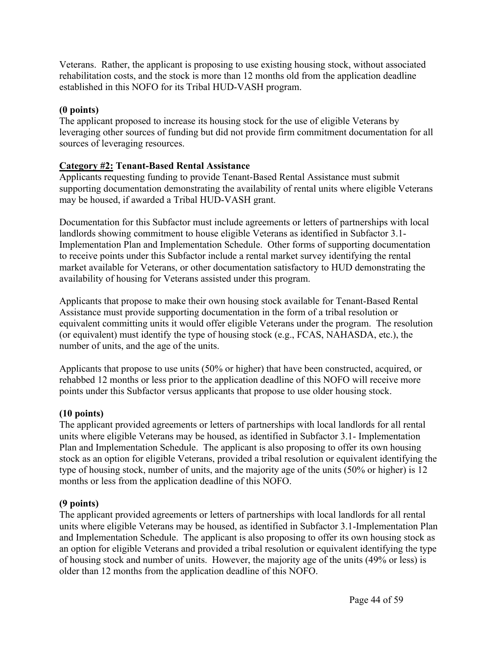Veterans. Rather, the applicant is proposing to use existing housing stock, without associated rehabilitation costs, and the stock is more than 12 months old from the application deadline established in this NOFO for its Tribal HUD-VASH program.

#### **(0 points)**

The applicant proposed to increase its housing stock for the use of eligible Veterans by leveraging other sources of funding but did not provide firm commitment documentation for all sources of leveraging resources.

#### **Category #2: Tenant-Based Rental Assistance**

Applicants requesting funding to provide Tenant-Based Rental Assistance must submit supporting documentation demonstrating the availability of rental units where eligible Veterans may be housed, if awarded a Tribal HUD-VASH grant.

Documentation for this Subfactor must include agreements or letters of partnerships with local landlords showing commitment to house eligible Veterans as identified in Subfactor 3.1- Implementation Plan and Implementation Schedule. Other forms of supporting documentation to receive points under this Subfactor include a rental market survey identifying the rental market available for Veterans, or other documentation satisfactory to HUD demonstrating the availability of housing for Veterans assisted under this program.

Applicants that propose to make their own housing stock available for Tenant-Based Rental Assistance must provide supporting documentation in the form of a tribal resolution or equivalent committing units it would offer eligible Veterans under the program. The resolution (or equivalent) must identify the type of housing stock (e.g., FCAS, NAHASDA, etc.), the number of units, and the age of the units.

Applicants that propose to use units (50% or higher) that have been constructed, acquired, or rehabbed 12 months or less prior to the application deadline of this NOFO will receive more points under this Subfactor versus applicants that propose to use older housing stock.

#### **(10 points)**

The applicant provided agreements or letters of partnerships with local landlords for all rental units where eligible Veterans may be housed, as identified in Subfactor 3.1- Implementation Plan and Implementation Schedule. The applicant is also proposing to offer its own housing stock as an option for eligible Veterans, provided a tribal resolution or equivalent identifying the type of housing stock, number of units, and the majority age of the units (50% or higher) is 12 months or less from the application deadline of this NOFO.

#### **(9 points)**

The applicant provided agreements or letters of partnerships with local landlords for all rental units where eligible Veterans may be housed, as identified in Subfactor 3.1-Implementation Plan and Implementation Schedule. The applicant is also proposing to offer its own housing stock as an option for eligible Veterans and provided a tribal resolution or equivalent identifying the type of housing stock and number of units. However, the majority age of the units (49% or less) is older than 12 months from the application deadline of this NOFO.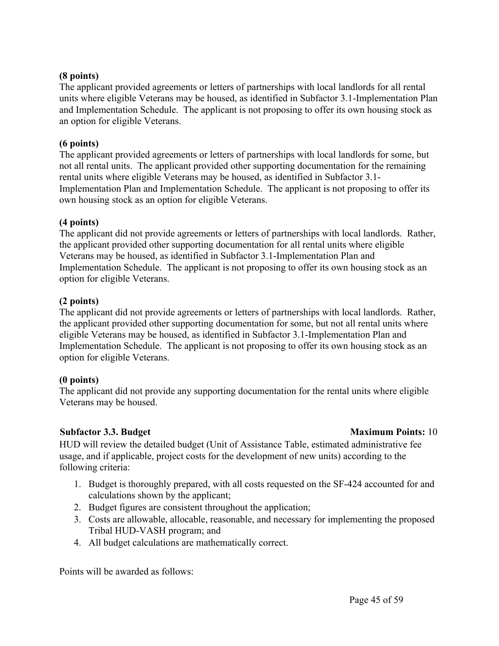#### **(8 points)**

The applicant provided agreements or letters of partnerships with local landlords for all rental units where eligible Veterans may be housed, as identified in Subfactor 3.1-Implementation Plan and Implementation Schedule. The applicant is not proposing to offer its own housing stock as an option for eligible Veterans.

#### **(6 points)**

The applicant provided agreements or letters of partnerships with local landlords for some, but not all rental units. The applicant provided other supporting documentation for the remaining rental units where eligible Veterans may be housed, as identified in Subfactor 3.1- Implementation Plan and Implementation Schedule. The applicant is not proposing to offer its own housing stock as an option for eligible Veterans.

#### **(4 points)**

The applicant did not provide agreements or letters of partnerships with local landlords. Rather, the applicant provided other supporting documentation for all rental units where eligible Veterans may be housed, as identified in Subfactor 3.1-Implementation Plan and Implementation Schedule. The applicant is not proposing to offer its own housing stock as an option for eligible Veterans.

#### **(2 points)**

The applicant did not provide agreements or letters of partnerships with local landlords. Rather, the applicant provided other supporting documentation for some, but not all rental units where eligible Veterans may be housed, as identified in Subfactor 3.1-Implementation Plan and Implementation Schedule. The applicant is not proposing to offer its own housing stock as an option for eligible Veterans.

#### **(0 points)**

The applicant did not provide any supporting documentation for the rental units where eligible Veterans may be housed.

#### **Subfactor 3.3.** Budget **Maximum Points:** 10

HUD will review the detailed budget (Unit of Assistance Table, estimated administrative fee usage, and if applicable, project costs for the development of new units) according to the following criteria:

- 1. Budget is thoroughly prepared, with all costs requested on the SF-424 accounted for and calculations shown by the applicant;
- 2. Budget figures are consistent throughout the application;
- 3. Costs are allowable, allocable, reasonable, and necessary for implementing the proposed Tribal HUD-VASH program; and
- 4. All budget calculations are mathematically correct.

Points will be awarded as follows: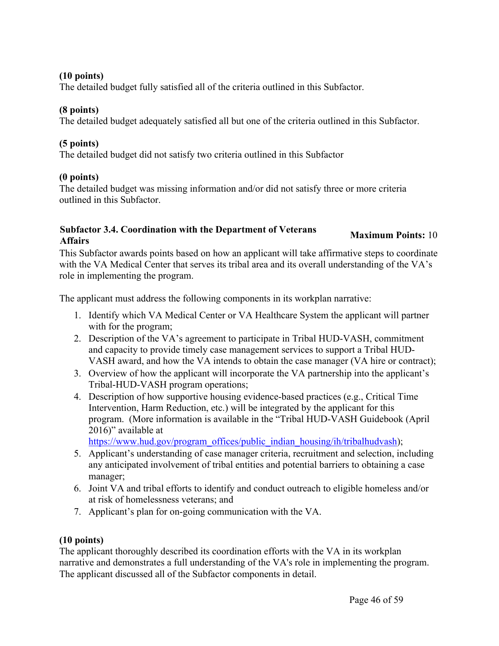#### **(10 points)**

The detailed budget fully satisfied all of the criteria outlined in this Subfactor.

### **(8 points)**

The detailed budget adequately satisfied all but one of the criteria outlined in this Subfactor.

### **(5 points)**

The detailed budget did not satisfy two criteria outlined in this Subfactor

### **(0 points)**

The detailed budget was missing information and/or did not satisfy three or more criteria outlined in this Subfactor.

# **Subfactor 3.4. Coordination with the Department of Veterans Affairs Maximum Points:** <sup>10</sup>

This Subfactor awards points based on how an applicant will take affirmative steps to coordinate with the VA Medical Center that serves its tribal area and its overall understanding of the VA's role in implementing the program.

The applicant must address the following components in its workplan narrative:

- 1. Identify which VA Medical Center or VA Healthcare System the applicant will partner with for the program;
- 2. Description of the VA's agreement to participate in Tribal HUD-VASH, commitment and capacity to provide timely case management services to support a Tribal HUD-VASH award, and how the VA intends to obtain the case manager (VA hire or contract);
- 3. Overview of how the applicant will incorporate the VA partnership into the applicant's Tribal-HUD-VASH program operations;
- 4. Description of how supportive housing evidence-based practices (e.g., Critical Time Intervention, Harm Reduction, etc.) will be integrated by the applicant for this program. (More information is available in the "Tribal HUD-VASH Guidebook (April 2016)" available at

[https://www.hud.gov/program\\_offices/public\\_indian\\_housing/ih/tribalhudvash](https://www.hud.gov/program_offices/public_indian_housing/ih/tribalhudvash));

- 5. Applicant's understanding of case manager criteria, recruitment and selection, including any anticipated involvement of tribal entities and potential barriers to obtaining a case manager;
- 6. Joint VA and tribal efforts to identify and conduct outreach to eligible homeless and/or at risk of homelessness veterans; and
- 7. Applicant's plan for on-going communication with the VA.

# **(10 points)**

The applicant thoroughly described its coordination efforts with the VA in its workplan narrative and demonstrates a full understanding of the VA's role in implementing the program. The applicant discussed all of the Subfactor components in detail.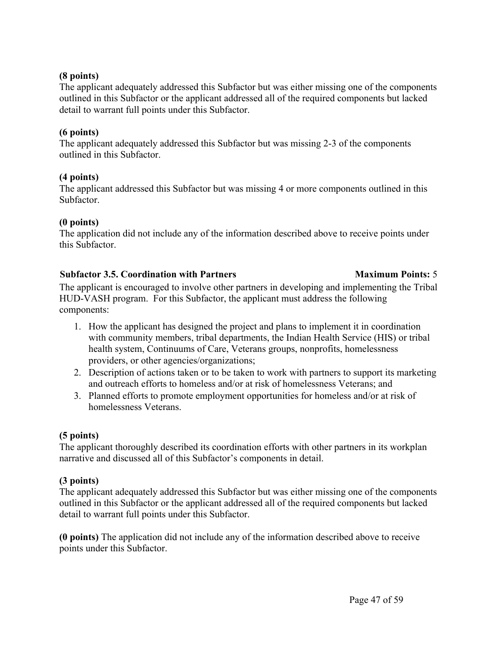#### **(8 points)**

The applicant adequately addressed this Subfactor but was either missing one of the components outlined in this Subfactor or the applicant addressed all of the required components but lacked detail to warrant full points under this Subfactor.

#### **(6 points)**

The applicant adequately addressed this Subfactor but was missing 2-3 of the components outlined in this Subfactor.

#### **(4 points)**

The applicant addressed this Subfactor but was missing 4 or more components outlined in this Subfactor.

#### **(0 points)**

The application did not include any of the information described above to receive points under this Subfactor.

#### **Subfactor 3.5. Coordination with Partners Maximum Points:** 5

The applicant is encouraged to involve other partners in developing and implementing the Tribal HUD-VASH program. For this Subfactor, the applicant must address the following components:

- 1. How the applicant has designed the project and plans to implement it in coordination with community members, tribal departments, the Indian Health Service (HIS) or tribal health system, Continuums of Care, Veterans groups, nonprofits, homelessness providers, or other agencies/organizations;
- 2. Description of actions taken or to be taken to work with partners to support its marketing and outreach efforts to homeless and/or at risk of homelessness Veterans; and
- 3. Planned efforts to promote employment opportunities for homeless and/or at risk of homelessness Veterans.

#### **(5 points)**

The applicant thoroughly described its coordination efforts with other partners in its workplan narrative and discussed all of this Subfactor's components in detail.

#### **(3 points)**

The applicant adequately addressed this Subfactor but was either missing one of the components outlined in this Subfactor or the applicant addressed all of the required components but lacked detail to warrant full points under this Subfactor.

**(0 points)** The application did not include any of the information described above to receive points under this Subfactor.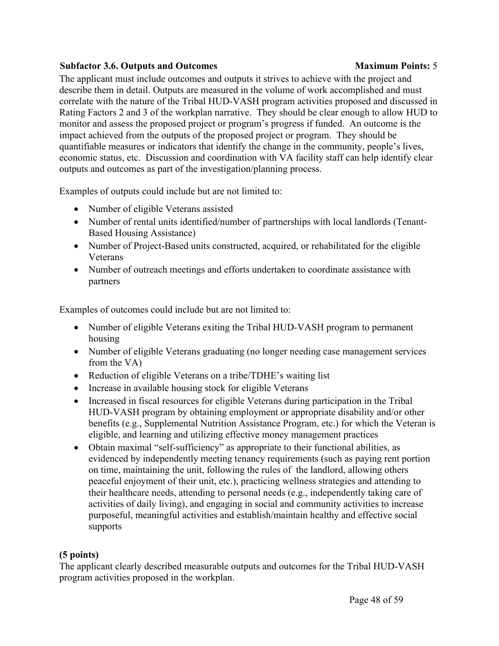#### **Subfactor 3.6. Outputs and Outcomes Maximum Points:** 5

The applicant must include outcomes and outputs it strives to achieve with the project and describe them in detail. Outputs are measured in the volume of work accomplished and must correlate with the nature of the Tribal HUD-VASH program activities proposed and discussed in Rating Factors 2 and 3 of the workplan narrative. They should be clear enough to allow HUD to monitor and assess the proposed project or program's progress if funded. An outcome is the impact achieved from the outputs of the proposed project or program. They should be quantifiable measures or indicators that identify the change in the community, people's lives, economic status, etc. Discussion and coordination with VA facility staff can help identify clear outputs and outcomes as part of the investigation/planning process.

Examples of outputs could include but are not limited to:

- Number of eligible Veterans assisted
- Number of rental units identified/number of partnerships with local landlords (Tenant-Based Housing Assistance)
- Number of Project-Based units constructed, acquired, or rehabilitated for the eligible Veterans
- Number of outreach meetings and efforts undertaken to coordinate assistance with partners

Examples of outcomes could include but are not limited to:

- Number of eligible Veterans exiting the Tribal HUD-VASH program to permanent housing
- Number of eligible Veterans graduating (no longer needing case management services from the VA)
- Reduction of eligible Veterans on a tribe/TDHE's waiting list
- Increase in available housing stock for eligible Veterans
- Increased in fiscal resources for eligible Veterans during participation in the Tribal HUD-VASH program by obtaining employment or appropriate disability and/or other benefits (e.g., Supplemental Nutrition Assistance Program, etc.) for which the Veteran is eligible, and learning and utilizing effective money management practices
- Obtain maximal "self-sufficiency" as appropriate to their functional abilities, as evidenced by independently meeting tenancy requirements (such as paying rent portion on time, maintaining the unit, following the rules of the landlord, allowing others peaceful enjoyment of their unit, etc.), practicing wellness strategies and attending to their healthcare needs, attending to personal needs (e.g., independently taking care of activities of daily living), and engaging in social and community activities to increase purposeful, meaningful activities and establish/maintain healthy and effective social supports

# **(5 points)**

The applicant clearly described measurable outputs and outcomes for the Tribal HUD-VASH program activities proposed in the workplan.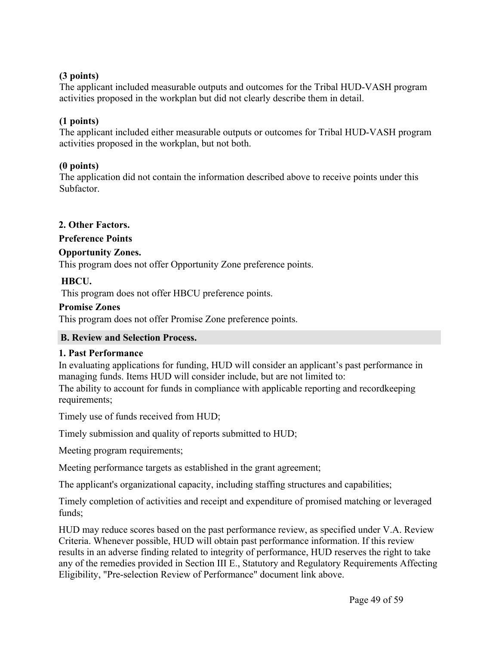### **(3 points)**

The applicant included measurable outputs and outcomes for the Tribal HUD-VASH program activities proposed in the workplan but did not clearly describe them in detail.

# **(1 points)**

The applicant included either measurable outputs or outcomes for Tribal HUD-VASH program activities proposed in the workplan, but not both.

# **(0 points)**

The application did not contain the information described above to receive points under this Subfactor.

# **2. Other Factors.**

# **Preference Points**

# **Opportunity Zones.**

This program does not offer Opportunity Zone preference points.

# **HBCU.**

This program does not offer HBCU preference points.

### **Promise Zones**

This program does not offer Promise Zone preference points.

# <span id="page-49-0"></span>**B. Review and Selection Process.**

# **1. Past Performance**

In evaluating applications for funding, HUD will consider an applicant's past performance in managing funds. Items HUD will consider include, but are not limited to:

The ability to account for funds in compliance with applicable reporting and recordkeeping requirements;

Timely use of funds received from HUD;

Timely submission and quality of reports submitted to HUD;

Meeting program requirements;

Meeting performance targets as established in the grant agreement;

The applicant's organizational capacity, including staffing structures and capabilities;

Timely completion of activities and receipt and expenditure of promised matching or leveraged funds:

HUD may reduce scores based on the past performance review, as specified under V.A. Review Criteria. Whenever possible, HUD will obtain past performance information. If this review results in an adverse finding related to integrity of performance, HUD reserves the right to take any of the remedies provided in Section III E., Statutory and Regulatory Requirements Affecting Eligibility, "Pre-selection Review of Performance" document link above.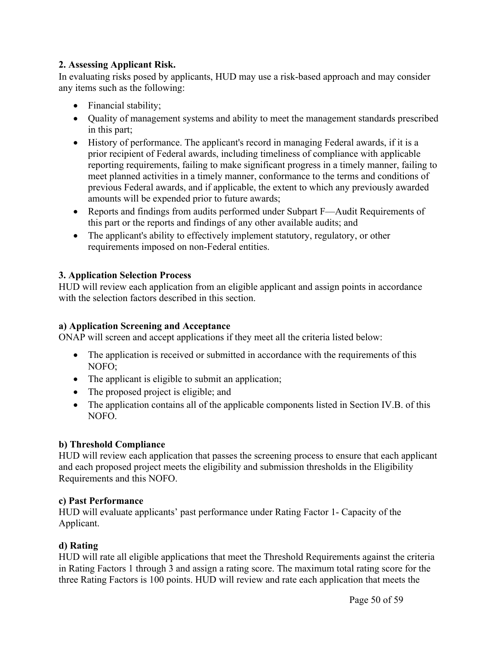### **2. Assessing Applicant Risk.**

In evaluating risks posed by applicants, HUD may use a risk-based approach and may consider any items such as the following:

- Financial stability;
- Quality of management systems and ability to meet the management standards prescribed in this part;
- History of performance. The applicant's record in managing Federal awards, if it is a prior recipient of Federal awards, including timeliness of compliance with applicable reporting requirements, failing to make significant progress in a timely manner, failing to meet planned activities in a timely manner, conformance to the terms and conditions of previous Federal awards, and if applicable, the extent to which any previously awarded amounts will be expended prior to future awards;
- Reports and findings from audits performed under Subpart F—Audit Requirements of this part or the reports and findings of any other available audits; and
- The applicant's ability to effectively implement statutory, regulatory, or other requirements imposed on non-Federal entities.

### **3. Application Selection Process**

HUD will review each application from an eligible applicant and assign points in accordance with the selection factors described in this section.

#### **a) Application Screening and Acceptance**

ONAP will screen and accept applications if they meet all the criteria listed below:

- The application is received or submitted in accordance with the requirements of this NOFO;
- The applicant is eligible to submit an application;
- The proposed project is eligible; and
- The application contains all of the applicable components listed in Section IV.B. of this NOFO.

# **b) Threshold Compliance**

HUD will review each application that passes the screening process to ensure that each applicant and each proposed project meets the eligibility and submission thresholds in the Eligibility Requirements and this NOFO.

#### **c) Past Performance**

HUD will evaluate applicants' past performance under Rating Factor 1- Capacity of the Applicant.

# **d) Rating**

HUD will rate all eligible applications that meet the Threshold Requirements against the criteria in Rating Factors 1 through 3 and assign a rating score. The maximum total rating score for the three Rating Factors is 100 points. HUD will review and rate each application that meets the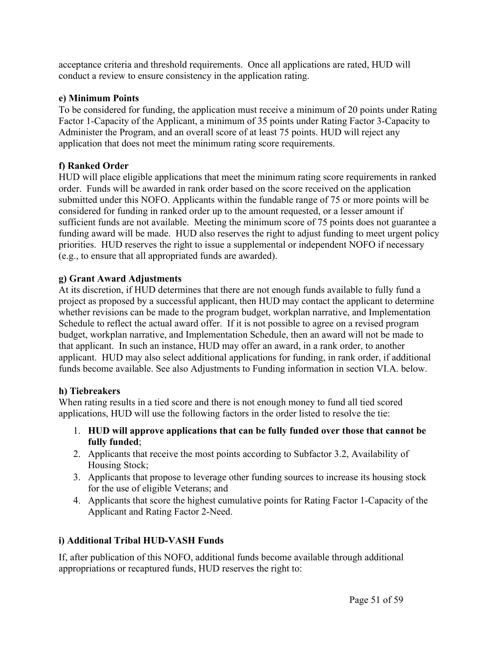acceptance criteria and threshold requirements. Once all applications are rated, HUD will conduct a review to ensure consistency in the application rating.

### **e) Minimum Points**

To be considered for funding, the application must receive a minimum of 20 points under Rating Factor 1-Capacity of the Applicant, a minimum of 35 points under Rating Factor 3-Capacity to Administer the Program, and an overall score of at least 75 points. HUD will reject any application that does not meet the minimum rating score requirements.

# **f) Ranked Order**

HUD will place eligible applications that meet the minimum rating score requirements in ranked order. Funds will be awarded in rank order based on the score received on the application submitted under this NOFO. Applicants within the fundable range of 75 or more points will be considered for funding in ranked order up to the amount requested, or a lesser amount if sufficient funds are not available. Meeting the minimum score of 75 points does not guarantee a funding award will be made. HUD also reserves the right to adjust funding to meet urgent policy priorities. HUD reserves the right to issue a supplemental or independent NOFO if necessary (e.g., to ensure that all appropriated funds are awarded).

### **g) Grant Award Adjustments**

At its discretion, if HUD determines that there are not enough funds available to fully fund a project as proposed by a successful applicant, then HUD may contact the applicant to determine whether revisions can be made to the program budget, workplan narrative, and Implementation Schedule to reflect the actual award offer. If it is not possible to agree on a revised program budget, workplan narrative, and Implementation Schedule, then an award will not be made to that applicant. In such an instance, HUD may offer an award, in a rank order, to another applicant. HUD may also select additional applications for funding, in rank order, if additional funds become available. See also Adjustments to Funding information in section VI.A. below.

#### **h) Tiebreakers**

When rating results in a tied score and there is not enough money to fund all tied scored applications, HUD will use the following factors in the order listed to resolve the tie:

- 1. **HUD will approve applications that can be fully funded over those that cannot be fully funded**;
- 2. Applicants that receive the most points according to Subfactor 3.2, Availability of Housing Stock;
- 3. Applicants that propose to leverage other funding sources to increase its housing stock for the use of eligible Veterans; and
- 4. Applicants that score the highest cumulative points for Rating Factor 1-Capacity of the Applicant and Rating Factor 2-Need.

# **i) Additional Tribal HUD-VASH Funds**

If, after publication of this NOFO, additional funds become available through additional appropriations or recaptured funds, HUD reserves the right to: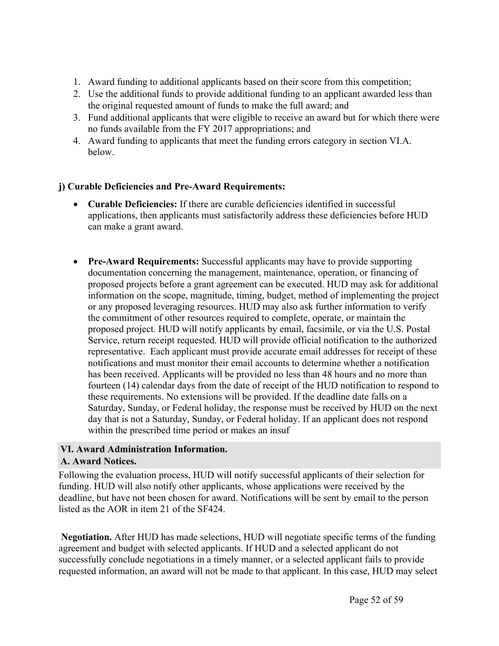- 1. Award funding to additional applicants based on their score from this competition;
- 2. Use the additional funds to provide additional funding to an applicant awarded less than the original requested amount of funds to make the full award; and
- 3. Fund additional applicants that were eligible to receive an award but for which there were no funds available from the FY 2017 appropriations; and
- 4. Award funding to applicants that meet the funding errors category in section VI.A. below.

# **j) Curable Deficiencies and Pre-Award Requirements:**

- **Curable Deficiencies:** If there are curable deficiencies identified in successful applications, then applicants must satisfactorily address these deficiencies before HUD can make a grant award.
- **Pre-Award Requirements:** Successful applicants may have to provide supporting documentation concerning the management, maintenance, operation, or financing of proposed projects before a grant agreement can be executed. HUD may ask for additional information on the scope, magnitude, timing, budget, method of implementing the project or any proposed leveraging resources. HUD may also ask further information to verify the commitment of other resources required to complete, operate, or maintain the proposed project. HUD will notify applicants by email, facsimile, or via the U.S. Postal Service, return receipt requested. HUD will provide official notification to the authorized representative. Each applicant must provide accurate email addresses for receipt of these notifications and must monitor their email accounts to determine whether a notification has been received. Applicants will be provided no less than 48 hours and no more than fourteen (14) calendar days from the date of receipt of the HUD notification to respond to these requirements. No extensions will be provided. If the deadline date falls on a Saturday, Sunday, or Federal holiday, the response must be received by HUD on the next day that is not a Saturday, Sunday, or Federal holiday. If an applicant does not respond within the prescribed time period or makes an insuf

#### <span id="page-52-1"></span><span id="page-52-0"></span>**VI. Award Administration Information. A. Award Notices.**

Following the evaluation process, HUD will notify successful applicants of their selection for funding. HUD will also notify other applicants, whose applications were received by the deadline, but have not been chosen for award. Notifications will be sent by email to the person listed as the AOR in item 21 of the SF424.

**Negotiation.** After HUD has made selections, HUD will negotiate specific terms of the funding agreement and budget with selected applicants. If HUD and a selected applicant do not successfully conclude negotiations in a timely manner, or a selected applicant fails to provide requested information, an award will not be made to that applicant. In this case, HUD may select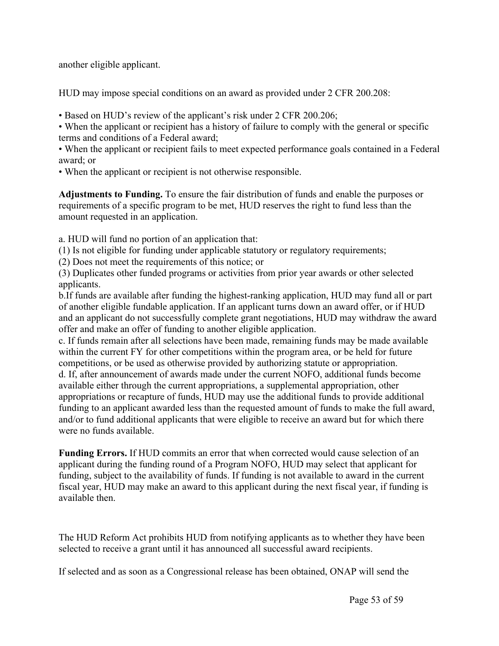another eligible applicant.

HUD may impose special conditions on an award as provided under 2 CFR 200.208:

• Based on HUD's review of the applicant's risk under 2 CFR 200.206;

• When the applicant or recipient has a history of failure to comply with the general or specific terms and conditions of a Federal award;

• When the applicant or recipient fails to meet expected performance goals contained in a Federal award; or

• When the applicant or recipient is not otherwise responsible.

**Adjustments to Funding.** To ensure the fair distribution of funds and enable the purposes or requirements of a specific program to be met, HUD reserves the right to fund less than the amount requested in an application.

a. HUD will fund no portion of an application that:

(1) Is not eligible for funding under applicable statutory or regulatory requirements;

(2) Does not meet the requirements of this notice; or

(3) Duplicates other funded programs or activities from prior year awards or other selected applicants.

b.If funds are available after funding the highest-ranking application, HUD may fund all or part of another eligible fundable application. If an applicant turns down an award offer, or if HUD and an applicant do not successfully complete grant negotiations, HUD may withdraw the award offer and make an offer of funding to another eligible application.

c. If funds remain after all selections have been made, remaining funds may be made available within the current FY for other competitions within the program area, or be held for future competitions, or be used as otherwise provided by authorizing statute or appropriation. d. If, after announcement of awards made under the current NOFO, additional funds become available either through the current appropriations, a supplemental appropriation, other appropriations or recapture of funds, HUD may use the additional funds to provide additional funding to an applicant awarded less than the requested amount of funds to make the full award,

and/or to fund additional applicants that were eligible to receive an award but for which there were no funds available. **Funding Errors.** If HUD commits an error that when corrected would cause selection of an

applicant during the funding round of a Program NOFO, HUD may select that applicant for funding, subject to the availability of funds. If funding is not available to award in the current fiscal year, HUD may make an award to this applicant during the next fiscal year, if funding is available then.

The HUD Reform Act prohibits HUD from notifying applicants as to whether they have been selected to receive a grant until it has announced all successful award recipients.

If selected and as soon as a Congressional release has been obtained, ONAP will send the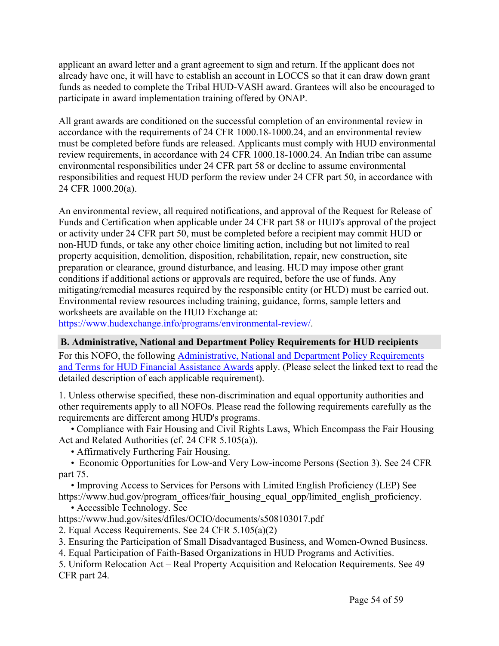applicant an award letter and a grant agreement to sign and return. If the applicant does not already have one, it will have to establish an account in LOCCS so that it can draw down grant funds as needed to complete the Tribal HUD-VASH award. Grantees will also be encouraged to participate in award implementation training offered by ONAP.

All grant awards are conditioned on the successful completion of an environmental review in accordance with the requirements of 24 CFR 1000.18-1000.24, and an environmental review must be completed before funds are released. Applicants must comply with HUD environmental review requirements, in accordance with 24 CFR 1000.18-1000.24. An Indian tribe can assume environmental responsibilities under 24 CFR part 58 or decline to assume environmental responsibilities and request HUD perform the review under 24 CFR part 50, in accordance with 24 CFR 1000.20(a).

An environmental review, all required notifications, and approval of the Request for Release of Funds and Certification when applicable under 24 CFR part 58 or HUD's approval of the project or activity under 24 CFR part 50, must be completed before a recipient may commit HUD or non-HUD funds, or take any other choice limiting action, including but not limited to real property acquisition, demolition, disposition, rehabilitation, repair, new construction, site preparation or clearance, ground disturbance, and leasing. HUD may impose other grant conditions if additional actions or approvals are required, before the use of funds. Any mitigating/remedial measures required by the responsible entity (or HUD) must be carried out. Environmental review resources including training, guidance, forms, sample letters and worksheets are available on the HUD Exchange at:

<https://www.hudexchange.info/programs/environmental-review/>.

#### <span id="page-54-0"></span>**B. Administrative, National and Department Policy Requirements for HUD recipients**

For this NOFO, the following [Administrative,](https://www.hud.gov/sites/dfiles/CFO/images/General%20Administration%20Requirements%20and%20Terms%20for%20HUD%20Assistance%20Awards.docx) National and Department Policy Requirements and Terms for HUD Financial [Assistance](https://www.hud.gov/sites/dfiles/CFO/images/General%20Administration%20Requirements%20and%20Terms%20for%20HUD%20Assistance%20Awards.docx) Awards apply. (Please select the linked text to read the detailed description of each applicable requirement).

1. Unless otherwise specified, these non-discrimination and equal opportunity authorities and other requirements apply to all NOFOs. Please read the following requirements carefully as the requirements are different among HUD's programs.

• Compliance with Fair Housing and Civil Rights Laws, Which Encompass the Fair Housing Act and Related Authorities (cf. 24 CFR 5.105(a)).

• Affirmatively Furthering Fair Housing.

• Economic Opportunities for Low-and Very Low-income Persons (Section 3). See 24 CFR part 75.

• Improving Access to Services for Persons with Limited English Proficiency (LEP) See https://www.hud.gov/program\_offices/fair\_housing\_equal\_opp/limited\_english\_proficiency.

• Accessible Technology. See

https://www.hud.gov/sites/dfiles/OCIO/documents/s508103017.pdf

2. Equal Access Requirements. See 24 CFR 5.105(a)(2)

3. Ensuring the Participation of Small Disadvantaged Business, and Women-Owned Business.

4. Equal Participation of Faith-Based Organizations in HUD Programs and Activities.

5. Uniform Relocation Act – Real Property Acquisition and Relocation Requirements. See 49 CFR part 24.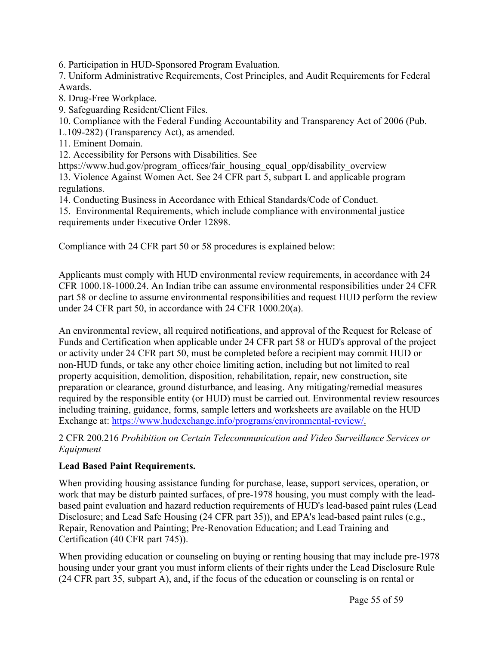6. Participation in HUD-Sponsored Program Evaluation.

7. Uniform Administrative Requirements, Cost Principles, and Audit Requirements for Federal Awards.

8. Drug-Free Workplace.

9. Safeguarding Resident/Client Files.

10. Compliance with the Federal Funding Accountability and Transparency Act of 2006 (Pub.

L.109-282) (Transparency Act), as amended.

11. Eminent Domain.

12. Accessibility for Persons with Disabilities. See

https://www.hud.gov/program\_offices/fair\_housing\_equal\_opp/disability\_overview 13. Violence Against Women Act. See 24 CFR part 5, subpart L and applicable program regulations.

14. Conducting Business in Accordance with Ethical Standards/Code of Conduct.

15. Environmental Requirements, which include compliance with environmental justice requirements under Executive Order 12898.

Compliance with 24 CFR part 50 or 58 procedures is explained below:

Applicants must comply with HUD environmental review requirements, in accordance with 24 CFR 1000.18-1000.24. An Indian tribe can assume environmental responsibilities under 24 CFR part 58 or decline to assume environmental responsibilities and request HUD perform the review under 24 CFR part 50, in accordance with 24 CFR 1000.20(a).

An environmental review, all required notifications, and approval of the Request for Release of Funds and Certification when applicable under 24 CFR part 58 or HUD's approval of the project or activity under 24 CFR part 50, must be completed before a recipient may commit HUD or non-HUD funds, or take any other choice limiting action, including but not limited to real property acquisition, demolition, disposition, rehabilitation, repair, new construction, site preparation or clearance, ground disturbance, and leasing. Any mitigating/remedial measures required by the responsible entity (or HUD) must be carried out. Environmental review resources including training, guidance, forms, sample letters and worksheets are available on the HUD Exchange at: [https://www.hudexchange.info/programs/environmental-review/.](https://www.hudexchange.info/programs/environmental-review/)

2 CFR 200.216 *Prohibition on Certain Telecommunication and Video Surveillance Services or Equipment*

# **Lead Based Paint Requirements.**

When providing housing assistance funding for purchase, lease, support services, operation, or work that may be disturb painted surfaces, of pre-1978 housing, you must comply with the leadbased paint evaluation and hazard reduction requirements of HUD's lead-based paint rules (Lead Disclosure; and Lead Safe Housing (24 CFR part 35)), and EPA's lead-based paint rules (e.g., Repair, Renovation and Painting; Pre-Renovation Education; and Lead Training and Certification (40 CFR part 745)).

When providing education or counseling on buying or renting housing that may include pre-1978 housing under your grant you must inform clients of their rights under the Lead Disclosure Rule (24 CFR part 35, subpart A), and, if the focus of the education or counseling is on rental or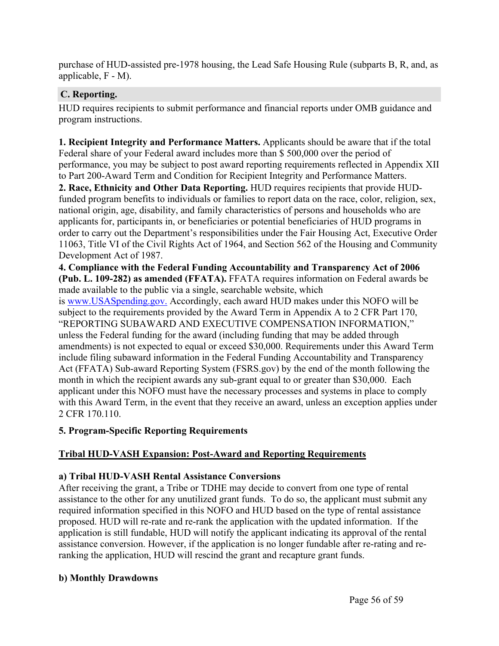purchase of HUD-assisted pre-1978 housing, the Lead Safe Housing Rule (subparts B, R, and, as applicable, F - M).

# <span id="page-56-0"></span>**C. Reporting.**

HUD requires recipients to submit performance and financial reports under OMB guidance and program instructions.

**1. Recipient Integrity and Performance Matters.** Applicants should be aware that if the total Federal share of your Federal award includes more than \$ 500,000 over the period of performance, you may be subject to post award reporting requirements reflected in Appendix XII to Part 200-Award Term and Condition for Recipient Integrity and Performance Matters.

**2. Race, Ethnicity and Other Data Reporting.** HUD requires recipients that provide HUDfunded program benefits to individuals or families to report data on the race, color, religion, sex, national origin, age, disability, and family characteristics of persons and households who are applicants for, participants in, or beneficiaries or potential beneficiaries of HUD programs in order to carry out the Department's responsibilities under the Fair Housing Act, Executive Order 11063, Title VI of the Civil Rights Act of 1964, and Section 562 of the Housing and Community Development Act of 1987.

**4. Compliance with the Federal Funding Accountability and Transparency Act of 2006 (Pub. L. 109-282) as amended (FFATA).** FFATA requires information on Federal awards be made available to the public via a single, searchable website, which

is [www.USASpending.gov.](http://www.usaspending.gov/) Accordingly, each award HUD makes under this NOFO will be subject to the requirements provided by the Award Term in Appendix A to 2 CFR Part 170, "REPORTING SUBAWARD AND EXECUTIVE COMPENSATION INFORMATION," unless the Federal funding for the award (including funding that may be added through amendments) is not expected to equal or exceed \$30,000. Requirements under this Award Term include filing subaward information in the Federal Funding Accountability and Transparency Act (FFATA) Sub-award Reporting System (FSRS.gov) by the end of the month following the month in which the recipient awards any sub-grant equal to or greater than \$30,000. Each applicant under this NOFO must have the necessary processes and systems in place to comply with this Award Term, in the event that they receive an award, unless an exception applies under 2 CFR 170.110.

# **5. Program-Specific Reporting Requirements**

# **Tribal HUD-VASH Expansion: Post-Award and Reporting Requirements**

# **a) Tribal HUD-VASH Rental Assistance Conversions**

After receiving the grant, a Tribe or TDHE may decide to convert from one type of rental assistance to the other for any unutilized grant funds. To do so, the applicant must submit any required information specified in this NOFO and HUD based on the type of rental assistance proposed. HUD will re-rate and re-rank the application with the updated information. If the application is still fundable, HUD will notify the applicant indicating its approval of the rental assistance conversion. However, if the application is no longer fundable after re-rating and reranking the application, HUD will rescind the grant and recapture grant funds.

# **b) Monthly Drawdowns**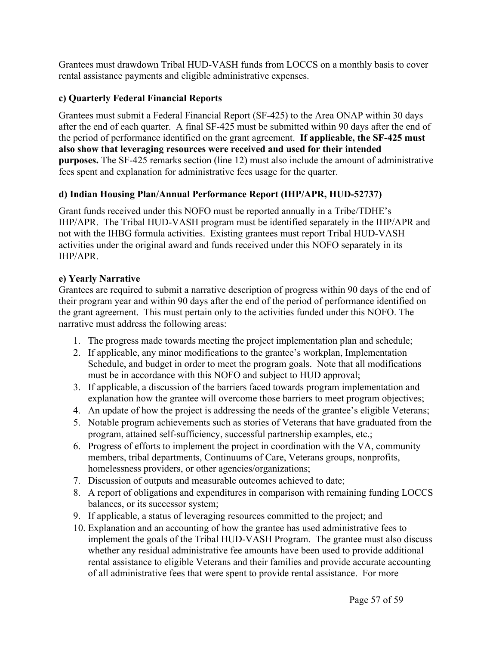Grantees must drawdown Tribal HUD-VASH funds from LOCCS on a monthly basis to cover rental assistance payments and eligible administrative expenses.

# **c) Quarterly Federal Financial Reports**

Grantees must submit a Federal Financial Report (SF-425) to the Area ONAP within 30 days after the end of each quarter. A final SF-425 must be submitted within 90 days after the end of the period of performance identified on the grant agreement. **If applicable, the SF-425 must also show that leveraging resources were received and used for their intended purposes.** The SF-425 remarks section (line 12) must also include the amount of administrative fees spent and explanation for administrative fees usage for the quarter.

# **d) Indian Housing Plan/Annual Performance Report (IHP/APR, HUD-52737)**

Grant funds received under this NOFO must be reported annually in a Tribe/TDHE's IHP/APR. The Tribal HUD-VASH program must be identified separately in the IHP/APR and not with the IHBG formula activities. Existing grantees must report Tribal HUD-VASH activities under the original award and funds received under this NOFO separately in its IHP/APR.

# **e) Yearly Narrative**

Grantees are required to submit a narrative description of progress within 90 days of the end of their program year and within 90 days after the end of the period of performance identified on the grant agreement. This must pertain only to the activities funded under this NOFO. The narrative must address the following areas:

- 1. The progress made towards meeting the project implementation plan and schedule;
- 2. If applicable, any minor modifications to the grantee's workplan, Implementation Schedule, and budget in order to meet the program goals. Note that all modifications must be in accordance with this NOFO and subject to HUD approval;
- 3. If applicable, a discussion of the barriers faced towards program implementation and explanation how the grantee will overcome those barriers to meet program objectives;
- 4. An update of how the project is addressing the needs of the grantee's eligible Veterans;
- 5. Notable program achievements such as stories of Veterans that have graduated from the program, attained self-sufficiency, successful partnership examples, etc.;
- 6. Progress of efforts to implement the project in coordination with the VA, community members, tribal departments, Continuums of Care, Veterans groups, nonprofits, homelessness providers, or other agencies/organizations;
- 7. Discussion of outputs and measurable outcomes achieved to date;
- 8. A report of obligations and expenditures in comparison with remaining funding LOCCS balances, or its successor system;
- 9. If applicable, a status of leveraging resources committed to the project; and
- 10. Explanation and an accounting of how the grantee has used administrative fees to implement the goals of the Tribal HUD-VASH Program. The grantee must also discuss whether any residual administrative fee amounts have been used to provide additional rental assistance to eligible Veterans and their families and provide accurate accounting of all administrative fees that were spent to provide rental assistance. For more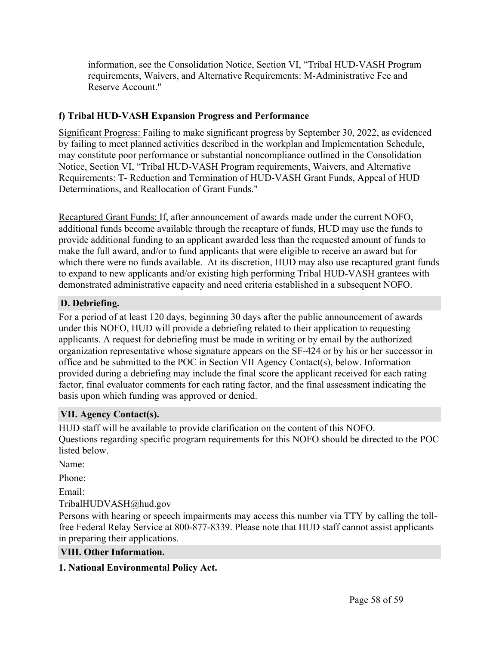information, see the Consolidation Notice, Section VI, "Tribal HUD-VASH Program requirements, Waivers, and Alternative Requirements: M-Administrative Fee and Reserve Account."

# **f) Tribal HUD-VASH Expansion Progress and Performance**

Significant Progress: Failing to make significant progress by September 30, 2022, as evidenced by failing to meet planned activities described in the workplan and Implementation Schedule, may constitute poor performance or substantial noncompliance outlined in the Consolidation Notice, Section VI, "Tribal HUD-VASH Program requirements, Waivers, and Alternative Requirements: T- Reduction and Termination of HUD-VASH Grant Funds, Appeal of HUD Determinations, and Reallocation of Grant Funds."

Recaptured Grant Funds: If, after announcement of awards made under the current NOFO, additional funds become available through the recapture of funds, HUD may use the funds to provide additional funding to an applicant awarded less than the requested amount of funds to make the full award, and/or to fund applicants that were eligible to receive an award but for which there were no funds available. At its discretion, HUD may also use recaptured grant funds to expand to new applicants and/or existing high performing Tribal HUD-VASH grantees with demonstrated administrative capacity and need criteria established in a subsequent NOFO.

# <span id="page-58-0"></span>**D. Debriefing.**

For a period of at least 120 days, beginning 30 days after the public announcement of awards under this NOFO, HUD will provide a debriefing related to their application to requesting applicants. A request for debriefing must be made in writing or by email by the authorized organization representative whose signature appears on the SF-424 or by his or her successor in office and be submitted to the POC in Section VII Agency Contact(s), below. Information provided during a debriefing may include the final score the applicant received for each rating factor, final evaluator comments for each rating factor, and the final assessment indicating the basis upon which funding was approved or denied.

# <span id="page-58-1"></span>**VII. Agency Contact(s).**

HUD staff will be available to provide clarification on the content of this NOFO. Questions regarding specific program requirements for this NOFO should be directed to the POC listed below.

Name:

Phone:

Email:

TribalHUDVASH@hud.gov

Persons with hearing or speech impairments may access this number via TTY by calling the tollfree Federal Relay Service at 800-877-8339. Please note that HUD staff cannot assist applicants in preparing their applications.

# <span id="page-58-2"></span>**VIII. Other Information.**

# **1. National Environmental Policy Act.**